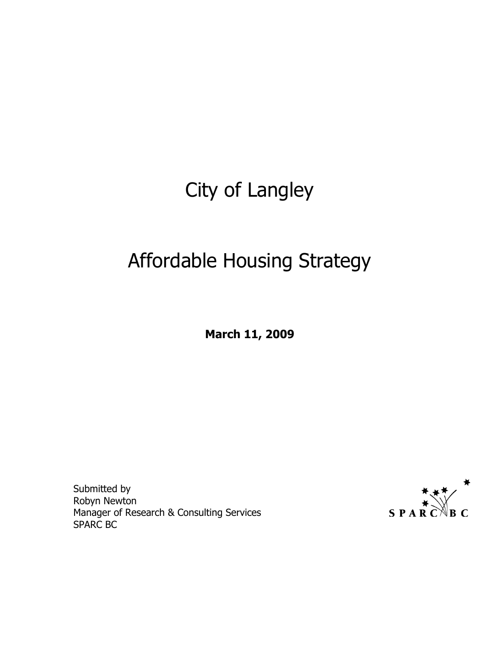# City of Langley

# Affordable Housing Strategy

March 11, 2009

Submitted by Robyn Newton Manager of Research & Consulting Services SPARC BC

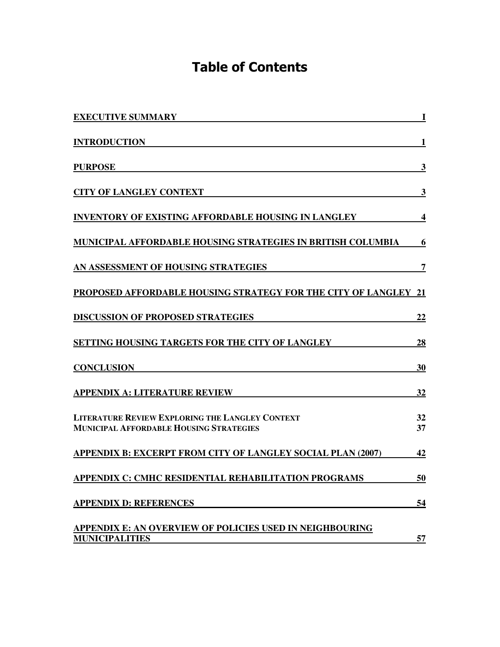# Table of Contents

| <b>EXECUTIVE SUMMARY</b>                                                                                 | I                |
|----------------------------------------------------------------------------------------------------------|------------------|
| <b>INTRODUCTION</b>                                                                                      | 1                |
| <b>PURPOSE</b>                                                                                           | 3                |
| <b>CITY OF LANGLEY CONTEXT</b>                                                                           | 3                |
| <b>INVENTORY OF EXISTING AFFORDABLE HOUSING IN LANGLEY</b>                                               | $\boldsymbol{4}$ |
| <b>MUNICIPAL AFFORDABLE HOUSING STRATEGIES IN BRITISH COLUMBIA</b>                                       | 6                |
| AN ASSESSMENT OF HOUSING STRATEGIES                                                                      | 7                |
| PROPOSED AFFORDABLE HOUSING STRATEGY FOR THE CITY OF LANGLEY                                             | 21               |
| <b>DISCUSSION OF PROPOSED STRATEGIES</b>                                                                 | 22               |
| SETTING HOUSING TARGETS FOR THE CITY OF LANGLEY                                                          | 28               |
| <b>CONCLUSION</b>                                                                                        | 30               |
| <b>APPENDIX A: LITERATURE REVIEW</b>                                                                     | 32               |
| <b>LITERATURE REVIEW EXPLORING THE LANGLEY CONTEXT</b><br><b>MUNICIPAL AFFORDABLE HOUSING STRATEGIES</b> | 32<br>37         |
| <b>APPENDIX B: EXCERPT FROM CITY OF LANGLEY SOCIAL PLAN (2007)</b>                                       | 42               |
| <b>APPENDIX C: CMHC RESIDENTIAL REHABILITATION PROGRAMS</b>                                              | 50               |
| <b>APPENDIX D: REFERENCES</b>                                                                            | 54               |
| APPENDIX E: AN OVERVIEW OF POLICIES USED IN NEIGHBOURING<br><b>MUNICIPALITIES</b>                        | 57               |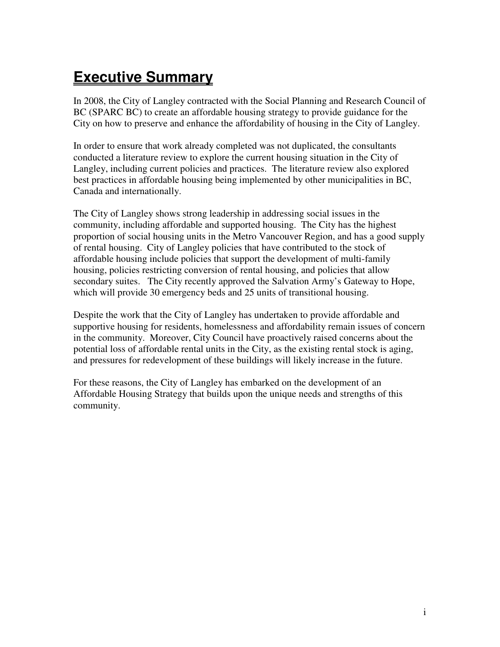# **Executive Summary**

In 2008, the City of Langley contracted with the Social Planning and Research Council of BC (SPARC BC) to create an affordable housing strategy to provide guidance for the City on how to preserve and enhance the affordability of housing in the City of Langley.

In order to ensure that work already completed was not duplicated, the consultants conducted a literature review to explore the current housing situation in the City of Langley, including current policies and practices. The literature review also explored best practices in affordable housing being implemented by other municipalities in BC, Canada and internationally.

The City of Langley shows strong leadership in addressing social issues in the community, including affordable and supported housing. The City has the highest proportion of social housing units in the Metro Vancouver Region, and has a good supply of rental housing. City of Langley policies that have contributed to the stock of affordable housing include policies that support the development of multi-family housing, policies restricting conversion of rental housing, and policies that allow secondary suites. The City recently approved the Salvation Army's Gateway to Hope, which will provide 30 emergency beds and 25 units of transitional housing.

Despite the work that the City of Langley has undertaken to provide affordable and supportive housing for residents, homelessness and affordability remain issues of concern in the community. Moreover, City Council have proactively raised concerns about the potential loss of affordable rental units in the City, as the existing rental stock is aging, and pressures for redevelopment of these buildings will likely increase in the future.

For these reasons, the City of Langley has embarked on the development of an Affordable Housing Strategy that builds upon the unique needs and strengths of this community.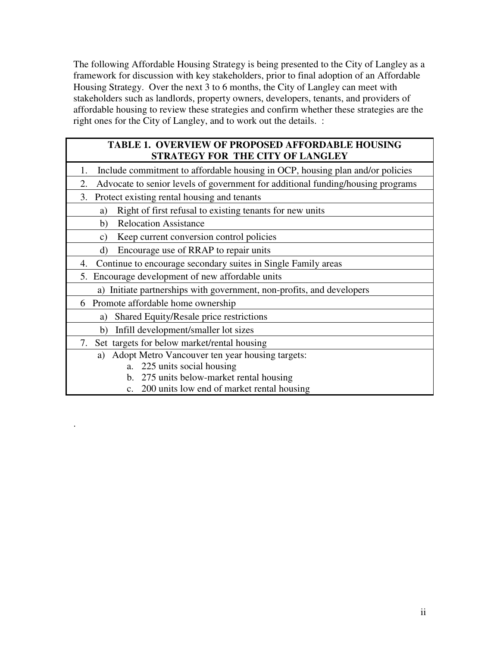The following Affordable Housing Strategy is being presented to the City of Langley as a framework for discussion with key stakeholders, prior to final adoption of an Affordable Housing Strategy. Over the next 3 to 6 months, the City of Langley can meet with stakeholders such as landlords, property owners, developers, tenants, and providers of affordable housing to review these strategies and confirm whether these strategies are the right ones for the City of Langley, and to work out the details. :

### **TABLE 1. OVERVIEW OF PROPOSED AFFORDABLE HOUSING STRATEGY FOR THE CITY OF LANGLEY**

- 1. Include commitment to affordable housing in OCP, housing plan and/or policies
- 2. Advocate to senior levels of government for additional funding/housing programs
- 3. Protect existing rental housing and tenants
	- a) Right of first refusal to existing tenants for new units
	- b) Relocation Assistance
	- c) Keep current conversion control policies
	- d) Encourage use of RRAP to repair units
- 4. Continue to encourage secondary suites in Single Family areas
- 5. Encourage development of new affordable units
	- a) Initiate partnerships with government, non-profits, and developers
- 6 Promote affordable home ownership

.

- a) Shared Equity/Resale price restrictions
- b) Infill development/smaller lot sizes
- 7. Set targets for below market/rental housing
	- a) Adopt Metro Vancouver ten year housing targets:
		- a. 225 units social housing
		- b. 275 units below-market rental housing
		- c. 200 units low end of market rental housing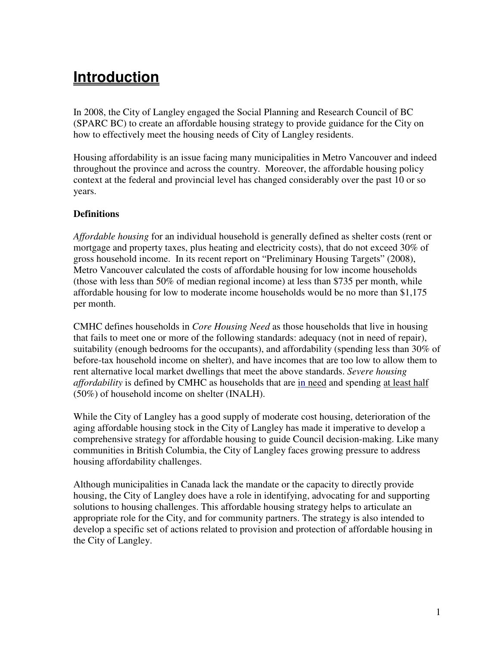# **Introduction**

In 2008, the City of Langley engaged the Social Planning and Research Council of BC (SPARC BC) to create an affordable housing strategy to provide guidance for the City on how to effectively meet the housing needs of City of Langley residents.

Housing affordability is an issue facing many municipalities in Metro Vancouver and indeed throughout the province and across the country. Moreover, the affordable housing policy context at the federal and provincial level has changed considerably over the past 10 or so years.

### **Definitions**

*Affordable housing* for an individual household is generally defined as shelter costs (rent or mortgage and property taxes, plus heating and electricity costs), that do not exceed 30% of gross household income. In its recent report on "Preliminary Housing Targets" (2008), Metro Vancouver calculated the costs of affordable housing for low income households (those with less than 50% of median regional income) at less than \$735 per month, while affordable housing for low to moderate income households would be no more than \$1,175 per month.

CMHC defines households in *Core Housing Need* as those households that live in housing that fails to meet one or more of the following standards: adequacy (not in need of repair), suitability (enough bedrooms for the occupants), and affordability (spending less than 30% of before-tax household income on shelter), and have incomes that are too low to allow them to rent alternative local market dwellings that meet the above standards. *Severe housing affordability* is defined by CMHC as households that are in need and spending at least half (50%) of household income on shelter (INALH).

While the City of Langley has a good supply of moderate cost housing, deterioration of the aging affordable housing stock in the City of Langley has made it imperative to develop a comprehensive strategy for affordable housing to guide Council decision-making. Like many communities in British Columbia, the City of Langley faces growing pressure to address housing affordability challenges.

Although municipalities in Canada lack the mandate or the capacity to directly provide housing, the City of Langley does have a role in identifying, advocating for and supporting solutions to housing challenges. This affordable housing strategy helps to articulate an appropriate role for the City, and for community partners. The strategy is also intended to develop a specific set of actions related to provision and protection of affordable housing in the City of Langley.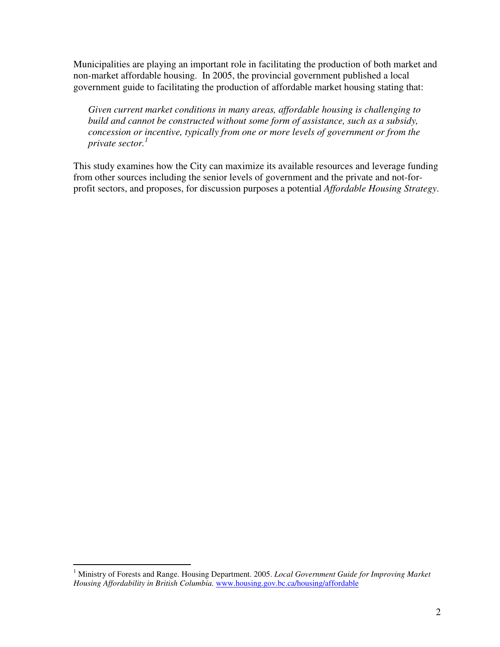Municipalities are playing an important role in facilitating the production of both market and non-market affordable housing. In 2005, the provincial government published a local government guide to facilitating the production of affordable market housing stating that:

*Given current market conditions in many areas, affordable housing is challenging to build and cannot be constructed without some form of assistance, such as a subsidy, concession or incentive, typically from one or more levels of government or from the private sector.<sup>1</sup>*

This study examines how the City can maximize its available resources and leverage funding from other sources including the senior levels of government and the private and not-forprofit sectors, and proposes, for discussion purposes a potential *Affordable Housing Strategy*.

 1 Ministry of Forests and Range. Housing Department. 2005. *Local Government Guide for Improving Market Housing Affordability in British Columbia.* www.housing.gov.bc.ca/housing/affordable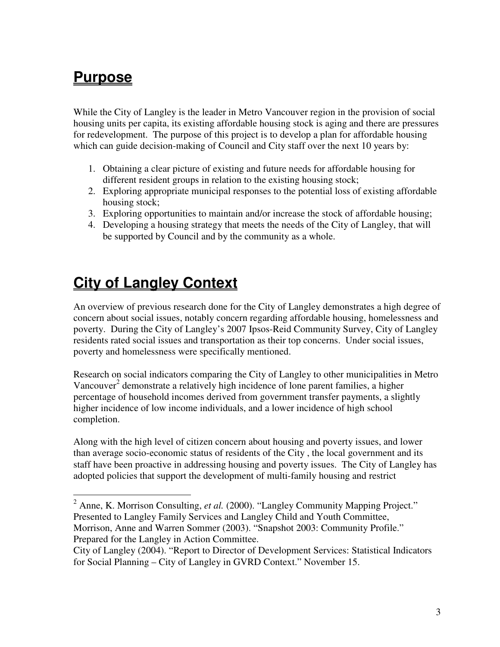# **Purpose**

While the City of Langley is the leader in Metro Vancouver region in the provision of social housing units per capita, its existing affordable housing stock is aging and there are pressures for redevelopment. The purpose of this project is to develop a plan for affordable housing which can guide decision-making of Council and City staff over the next 10 years by:

- 1. Obtaining a clear picture of existing and future needs for affordable housing for different resident groups in relation to the existing housing stock;
- 2. Exploring appropriate municipal responses to the potential loss of existing affordable housing stock;
- 3. Exploring opportunities to maintain and/or increase the stock of affordable housing;
- 4. Developing a housing strategy that meets the needs of the City of Langley, that will be supported by Council and by the community as a whole.

# **City of Langley Context**

An overview of previous research done for the City of Langley demonstrates a high degree of concern about social issues, notably concern regarding affordable housing, homelessness and poverty. During the City of Langley's 2007 Ipsos-Reid Community Survey, City of Langley residents rated social issues and transportation as their top concerns. Under social issues, poverty and homelessness were specifically mentioned.

Research on social indicators comparing the City of Langley to other municipalities in Metro Vancouver<sup>2</sup> demonstrate a relatively high incidence of lone parent families, a higher percentage of household incomes derived from government transfer payments, a slightly higher incidence of low income individuals, and a lower incidence of high school completion.

Along with the high level of citizen concern about housing and poverty issues, and lower than average socio-economic status of residents of the City , the local government and its staff have been proactive in addressing housing and poverty issues. The City of Langley has adopted policies that support the development of multi-family housing and restrict

<sup>&</sup>lt;sup>2</sup> Anne, K. Morrison Consulting, *et al.* (2000). "Langley Community Mapping Project." Presented to Langley Family Services and Langley Child and Youth Committee, Morrison, Anne and Warren Sommer (2003). "Snapshot 2003: Community Profile." Prepared for the Langley in Action Committee.

City of Langley (2004). "Report to Director of Development Services: Statistical Indicators for Social Planning – City of Langley in GVRD Context." November 15.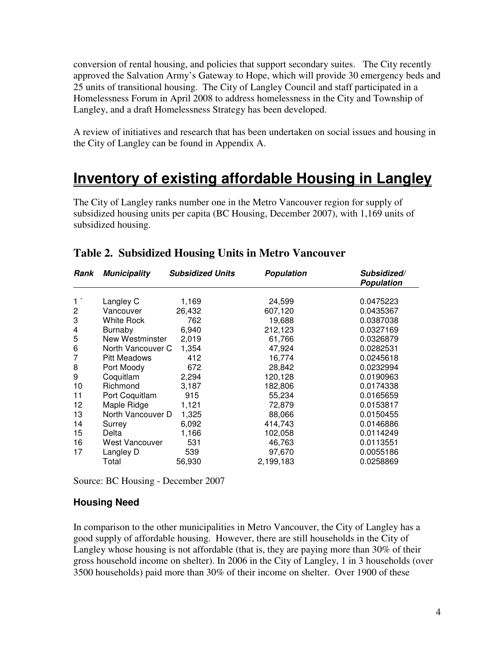conversion of rental housing, and policies that support secondary suites. The City recently approved the Salvation Army's Gateway to Hope, which will provide 30 emergency beds and 25 units of transitional housing. The City of Langley Council and staff participated in a Homelessness Forum in April 2008 to address homelessness in the City and Township of Langley, and a draft Homelessness Strategy has been developed.

A review of initiatives and research that has been undertaken on social issues and housing in the City of Langley can be found in Appendix A.

# **Inventory of existing affordable Housing in Langley**

The City of Langley ranks number one in the Metro Vancouver region for supply of subsidized housing units per capita (BC Housing, December 2007), with 1,169 units of subsidized housing.

| Rank           | <b>Municipality</b> | <b>Subsidized Units</b> | <b>Population</b> | Subsidized/<br><b>Population</b> |
|----------------|---------------------|-------------------------|-------------------|----------------------------------|
| $1^{\circ}$    | Langley C           | 1,169                   | 24,599            | 0.0475223                        |
| $\overline{2}$ | Vancouver           | 26,432                  | 607,120           | 0.0435367                        |
| 3              | White Rock          | 762                     | 19,688            | 0.0387038                        |
| $\overline{4}$ | Burnaby             | 6,940                   | 212,123           | 0.0327169                        |
| 5              | New Westminster     | 2,019                   | 61,766            | 0.0326879                        |
| 6              | North Vancouver C   | 1,354                   | 47,924            | 0.0282531                        |
| 7              | <b>Pitt Meadows</b> | 412                     | 16,774            | 0.0245618                        |
| 8              | Port Moody          | 672                     | 28,842            | 0.0232994                        |
| 9              | Coquitlam           | 2,294                   | 120,128           | 0.0190963                        |
| 10             | Richmond            | 3,187                   | 182,806           | 0.0174338                        |
| 11             | Port Coquitlam      | 915                     | 55,234            | 0.0165659                        |
| 12             | Maple Ridge         | 1,121                   | 72,879            | 0.0153817                        |
| 13             | North Vancouver D   | 1,325                   | 88,066            | 0.0150455                        |
| 14             | Surrey              | 6,092                   | 414,743           | 0.0146886                        |
| 15             | Delta               | 1,166                   | 102,058           | 0.0114249                        |
| 16             | West Vancouver      | 531                     | 46,763            | 0.0113551                        |
| 17             | Langley D           | 539                     | 97,670            | 0.0055186                        |
|                | Total               | 56,930                  | 2,199,183         | 0.0258869                        |

# **Table 2. Subsidized Housing Units in Metro Vancouver**

Source: BC Housing - December 2007

## **Housing Need**

In comparison to the other municipalities in Metro Vancouver, the City of Langley has a good supply of affordable housing. However, there are still households in the City of Langley whose housing is not affordable (that is, they are paying more than 30% of their gross household income on shelter). In 2006 in the City of Langley, 1 in 3 households (over 3500 households) paid more than 30% of their income on shelter. Over 1900 of these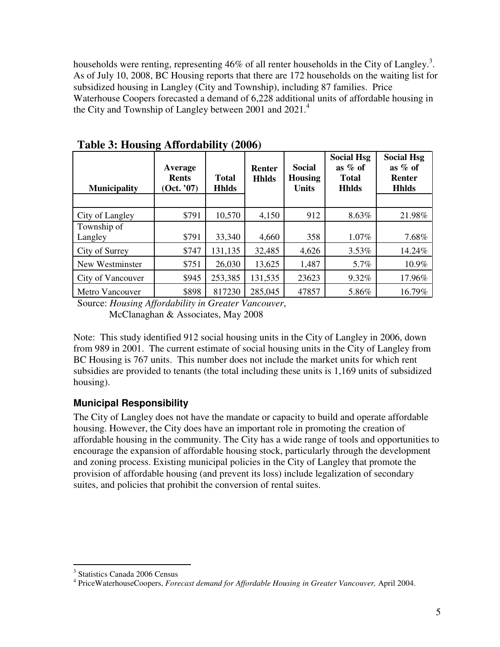households were renting, representing 46% of all renter households in the City of Langley.<sup>3</sup>. As of July 10, 2008, BC Housing reports that there are 172 households on the waiting list for subsidized housing in Langley (City and Township), including 87 families. Price Waterhouse Coopers forecasted a demand of 6,228 additional units of affordable housing in the City and Township of Langley between 2001 and  $2021<sup>4</sup>$ 

| <b>Municipality</b>    | Average<br><b>Rents</b><br>(Oct. '07) | <b>Total</b><br><b>Hhlds</b> | <b>Renter</b><br><b>Hhlds</b> | Social<br><b>Housing</b><br><b>Units</b> | <b>Social Hsg</b><br>as $%$ of<br><b>Total</b><br><b>Hhlds</b> | <b>Social Hsg</b><br>as $%$ of<br><b>Renter</b><br><b>Hhlds</b> |
|------------------------|---------------------------------------|------------------------------|-------------------------------|------------------------------------------|----------------------------------------------------------------|-----------------------------------------------------------------|
|                        |                                       |                              |                               |                                          |                                                                |                                                                 |
| City of Langley        | \$791                                 | 10,570                       | 4,150                         | 912                                      | $8.63\%$                                                       | 21.98%                                                          |
| Township of            |                                       |                              |                               |                                          |                                                                |                                                                 |
| Langley                | \$791                                 | 33,340                       | 4,660                         | 358                                      | 1.07%                                                          | 7.68%                                                           |
| City of Surrey         | \$747                                 | 131,135                      | 32,485                        | 4,626                                    | 3.53%                                                          | 14.24%                                                          |
| New Westminster        | \$751                                 | 26,030                       | 13,625                        | 1,487                                    | 5.7%                                                           | 10.9%                                                           |
| City of Vancouver      | \$945                                 | 253,385                      | 131,535                       | 23623                                    | 9.32%                                                          | 17.96%                                                          |
| <b>Metro Vancouver</b> | \$898                                 | 817230                       | 285,045                       | 47857                                    | 5.86%                                                          | 16.79%                                                          |

**Table 3: Housing Affordability (2006)** 

Source: *Housing Affordability in Greater Vancouver*, McClanaghan & Associates, May 2008

Note: This study identified 912 social housing units in the City of Langley in 2006, down from 989 in 2001. The current estimate of social housing units in the City of Langley from BC Housing is 767 units. This number does not include the market units for which rent subsidies are provided to tenants (the total including these units is 1,169 units of subsidized housing).

# **Municipal Responsibility**

The City of Langley does not have the mandate or capacity to build and operate affordable housing. However, the City does have an important role in promoting the creation of affordable housing in the community. The City has a wide range of tools and opportunities to encourage the expansion of affordable housing stock, particularly through the development and zoning process. Existing municipal policies in the City of Langley that promote the provision of affordable housing (and prevent its loss) include legalization of secondary suites, and policies that prohibit the conversion of rental suites.

 3 Statistics Canada 2006 Census

<sup>&</sup>lt;sup>4</sup> PriceWaterhouseCoopers, *Forecast demand for Affordable Housing in Greater Vancouver*, April 2004.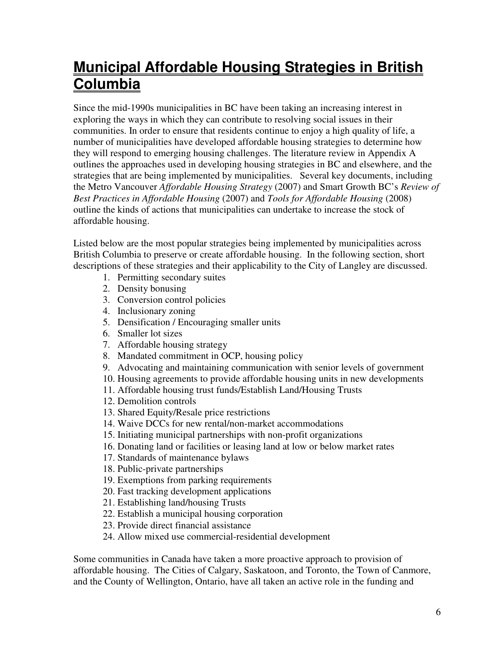# **Municipal Affordable Housing Strategies in British Columbia**

Since the mid-1990s municipalities in BC have been taking an increasing interest in exploring the ways in which they can contribute to resolving social issues in their communities. In order to ensure that residents continue to enjoy a high quality of life, a number of municipalities have developed affordable housing strategies to determine how they will respond to emerging housing challenges. The literature review in Appendix A outlines the approaches used in developing housing strategies in BC and elsewhere, and the strategies that are being implemented by municipalities. Several key documents, including the Metro Vancouver *Affordable Housing Strategy* (2007) and Smart Growth BC's *Review of Best Practices in Affordable Housing* (2007) and *Tools for Affordable Housing* (2008) outline the kinds of actions that municipalities can undertake to increase the stock of affordable housing.

Listed below are the most popular strategies being implemented by municipalities across British Columbia to preserve or create affordable housing. In the following section, short descriptions of these strategies and their applicability to the City of Langley are discussed.

- 1. Permitting secondary suites
- 2. Density bonusing
- 3. Conversion control policies
- 4. Inclusionary zoning
- 5. Densification / Encouraging smaller units
- 6. Smaller lot sizes
- 7. Affordable housing strategy
- 8. Mandated commitment in OCP, housing policy
- 9. Advocating and maintaining communication with senior levels of government
- 10. Housing agreements to provide affordable housing units in new developments
- 11. Affordable housing trust funds/Establish Land/Housing Trusts
- 12. Demolition controls
- 13. Shared Equity/Resale price restrictions
- 14. Waive DCCs for new rental/non-market accommodations
- 15. Initiating municipal partnerships with non-profit organizations
- 16. Donating land or facilities or leasing land at low or below market rates
- 17. Standards of maintenance bylaws
- 18. Public-private partnerships
- 19. Exemptions from parking requirements
- 20. Fast tracking development applications
- 21. Establishing land/housing Trusts
- 22. Establish a municipal housing corporation
- 23. Provide direct financial assistance
- 24. Allow mixed use commercial-residential development

Some communities in Canada have taken a more proactive approach to provision of affordable housing. The Cities of Calgary, Saskatoon, and Toronto, the Town of Canmore, and the County of Wellington, Ontario, have all taken an active role in the funding and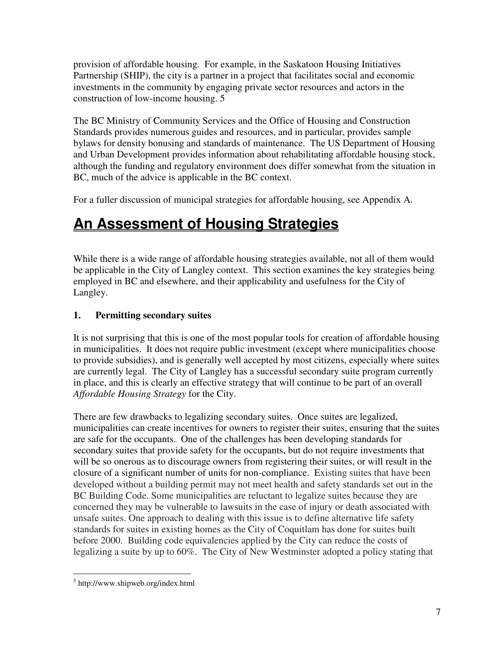provision of affordable housing. For example, in the Saskatoon Housing Initiatives Partnership (SHIP), the city is a partner in a project that facilitates social and economic investments in the community by engaging private sector resources and actors in the construction of low-income housing. 5

The BC Ministry of Community Services and the Office of Housing and Construction Standards provides numerous guides and resources, and in particular, provides sample bylaws for density bonusing and standards of maintenance. The US Department of Housing and Urban Development provides information about rehabilitating affordable housing stock, although the funding and regulatory environment does differ somewhat from the situation in BC, much of the advice is applicable in the BC context.

For a fuller discussion of municipal strategies for affordable housing, see Appendix A.

# **An Assessment of Housing Strategies**

While there is a wide range of affordable housing strategies available, not all of them would be applicable in the City of Langley context. This section examines the key strategies being employed in BC and elsewhere, and their applicability and usefulness for the City of Langley.

## **1. Permitting secondary suites**

It is not surprising that this is one of the most popular tools for creation of affordable housing in municipalities. It does not require public investment (except where municipalities choose to provide subsidies), and is generally well accepted by most citizens, especially where suites are currently legal. The City of Langley has a successful secondary suite program currently in place, and this is clearly an effective strategy that will continue to be part of an overall *Affordable Housing Strategy* for the City.

There are few drawbacks to legalizing secondary suites. Once suites are legalized, municipalities can create incentives for owners to register their suites, ensuring that the suites are safe for the occupants. One of the challenges has been developing standards for secondary suites that provide safety for the occupants, but do not require investments that will be so onerous as to discourage owners from registering their suites, or will result in the closure of a significant number of units for non-compliance. Existing suites that have been developed without a building permit may not meet health and safety standards set out in the BC Building Code. Some municipalities are reluctant to legalize suites because they are concerned they may be vulnerable to lawsuits in the case of injury or death associated with unsafe suites. One approach to dealing with this issue is to define alternative life safety standards for suites in existing homes as the City of Coquitlam has done for suites built before 2000. Building code equivalencies applied by the City can reduce the costs of legalizing a suite by up to 60%. The City of New Westminster adopted a policy stating that

 $\overline{a}$ 5 http://www.shipweb.org/index.html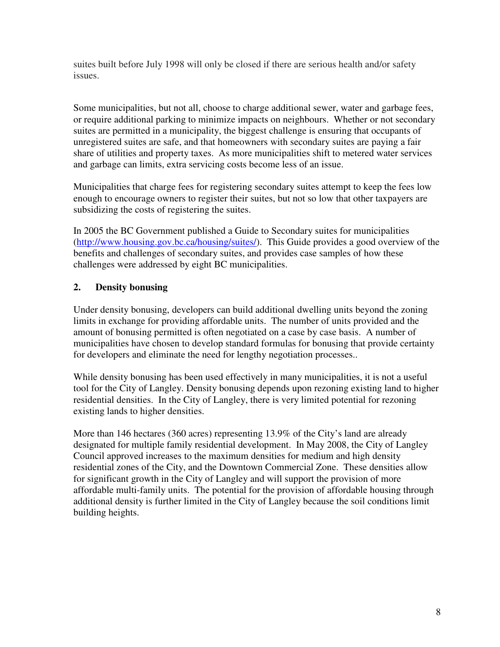suites built before July 1998 will only be closed if there are serious health and/or safety issues.

Some municipalities, but not all, choose to charge additional sewer, water and garbage fees, or require additional parking to minimize impacts on neighbours. Whether or not secondary suites are permitted in a municipality, the biggest challenge is ensuring that occupants of unregistered suites are safe, and that homeowners with secondary suites are paying a fair share of utilities and property taxes. As more municipalities shift to metered water services and garbage can limits, extra servicing costs become less of an issue.

Municipalities that charge fees for registering secondary suites attempt to keep the fees low enough to encourage owners to register their suites, but not so low that other taxpayers are subsidizing the costs of registering the suites.

In 2005 the BC Government published a Guide to Secondary suites for municipalities (http://www.housing.gov.bc.ca/housing/suites/). This Guide provides a good overview of the benefits and challenges of secondary suites, and provides case samples of how these challenges were addressed by eight BC municipalities.

## **2. Density bonusing**

Under density bonusing, developers can build additional dwelling units beyond the zoning limits in exchange for providing affordable units. The number of units provided and the amount of bonusing permitted is often negotiated on a case by case basis. A number of municipalities have chosen to develop standard formulas for bonusing that provide certainty for developers and eliminate the need for lengthy negotiation processes..

While density bonusing has been used effectively in many municipalities, it is not a useful tool for the City of Langley. Density bonusing depends upon rezoning existing land to higher residential densities. In the City of Langley, there is very limited potential for rezoning existing lands to higher densities.

More than 146 hectares (360 acres) representing 13.9% of the City's land are already designated for multiple family residential development. In May 2008, the City of Langley Council approved increases to the maximum densities for medium and high density residential zones of the City, and the Downtown Commercial Zone. These densities allow for significant growth in the City of Langley and will support the provision of more affordable multi-family units. The potential for the provision of affordable housing through additional density is further limited in the City of Langley because the soil conditions limit building heights.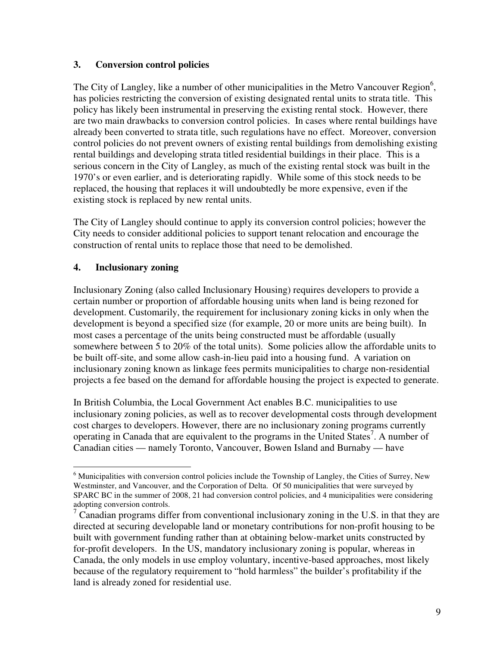#### **3. Conversion control policies**

The City of Langley, like a number of other municipalities in the Metro Vancouver Region<sup>6</sup>, has policies restricting the conversion of existing designated rental units to strata title. This policy has likely been instrumental in preserving the existing rental stock. However, there are two main drawbacks to conversion control policies. In cases where rental buildings have already been converted to strata title, such regulations have no effect. Moreover, conversion control policies do not prevent owners of existing rental buildings from demolishing existing rental buildings and developing strata titled residential buildings in their place. This is a serious concern in the City of Langley, as much of the existing rental stock was built in the 1970's or even earlier, and is deteriorating rapidly. While some of this stock needs to be replaced, the housing that replaces it will undoubtedly be more expensive, even if the existing stock is replaced by new rental units.

The City of Langley should continue to apply its conversion control policies; however the City needs to consider additional policies to support tenant relocation and encourage the construction of rental units to replace those that need to be demolished.

#### **4. Inclusionary zoning**

Inclusionary Zoning (also called Inclusionary Housing) requires developers to provide a certain number or proportion of affordable housing units when land is being rezoned for development. Customarily, the requirement for inclusionary zoning kicks in only when the development is beyond a specified size (for example, 20 or more units are being built). In most cases a percentage of the units being constructed must be affordable (usually somewhere between 5 to 20% of the total units). Some policies allow the affordable units to be built off-site, and some allow cash-in-lieu paid into a housing fund. A variation on inclusionary zoning known as linkage fees permits municipalities to charge non-residential projects a fee based on the demand for affordable housing the project is expected to generate.

In British Columbia, the Local Government Act enables B.C. municipalities to use inclusionary zoning policies, as well as to recover developmental costs through development cost charges to developers. However, there are no inclusionary zoning programs currently operating in Canada that are equivalent to the programs in the United States<sup>7</sup>. A number of Canadian cities — namely Toronto, Vancouver, Bowen Island and Burnaby — have

<sup>&</sup>lt;sup>6</sup> Municipalities with conversion control policies include the Township of Langley, the Cities of Surrey, New Westminster, and Vancouver, and the Corporation of Delta. Of 50 municipalities that were surveyed by SPARC BC in the summer of 2008, 21 had conversion control policies, and 4 municipalities were considering adopting conversion controls.

 $\sigma$  Canadian programs differ from conventional inclusionary zoning in the U.S. in that they are directed at securing developable land or monetary contributions for non-profit housing to be built with government funding rather than at obtaining below-market units constructed by for-profit developers. In the US, mandatory inclusionary zoning is popular, whereas in Canada, the only models in use employ voluntary, incentive-based approaches, most likely because of the regulatory requirement to "hold harmless" the builder's profitability if the land is already zoned for residential use.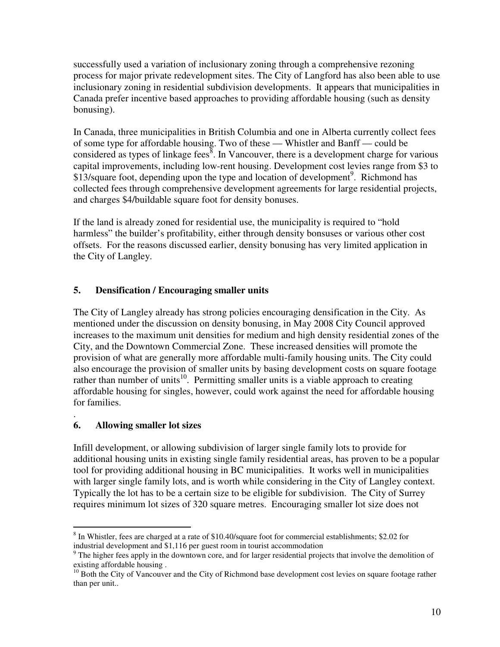successfully used a variation of inclusionary zoning through a comprehensive rezoning process for major private redevelopment sites. The City of Langford has also been able to use inclusionary zoning in residential subdivision developments. It appears that municipalities in Canada prefer incentive based approaches to providing affordable housing (such as density bonusing).

In Canada, three municipalities in British Columbia and one in Alberta currently collect fees of some type for affordable housing. Two of these — Whistler and Banff — could be considered as types of linkage fees $\delta$ . In Vancouver, there is a development charge for various capital improvements, including low-rent housing. Development cost levies range from \$3 to \$13/square foot, depending upon the type and location of development<sup>9</sup>. Richmond has collected fees through comprehensive development agreements for large residential projects, and charges \$4/buildable square foot for density bonuses.

If the land is already zoned for residential use, the municipality is required to "hold harmless" the builder's profitability, either through density bonsuses or various other cost offsets. For the reasons discussed earlier, density bonusing has very limited application in the City of Langley.

### **5. Densification / Encouraging smaller units**

The City of Langley already has strong policies encouraging densification in the City. As mentioned under the discussion on density bonusing, in May 2008 City Council approved increases to the maximum unit densities for medium and high density residential zones of the City, and the Downtown Commercial Zone. These increased densities will promote the provision of what are generally more affordable multi-family housing units. The City could also encourage the provision of smaller units by basing development costs on square footage rather than number of units<sup>10</sup>. Permitting smaller units is a viable approach to creating affordable housing for singles, however, could work against the need for affordable housing for families.

#### . **6. Allowing smaller lot sizes**

Infill development, or allowing subdivision of larger single family lots to provide for additional housing units in existing single family residential areas, has proven to be a popular tool for providing additional housing in BC municipalities. It works well in municipalities with larger single family lots, and is worth while considering in the City of Langley context. Typically the lot has to be a certain size to be eligible for subdivision. The City of Surrey requires minimum lot sizes of 320 square metres. Encouraging smaller lot size does not

 $\overline{a}$  $8$  In Whistler, fees are charged at a rate of \$10.40/square foot for commercial establishments; \$2.02 for industrial development and \$1,116 per guest room in tourist accommodation

<sup>&</sup>lt;sup>9</sup> The higher fees apply in the downtown core, and for larger residential projects that involve the demolition of existing affordable housing .

<sup>&</sup>lt;sup>10</sup> Both the City of Vancouver and the City of Richmond base development cost levies on square footage rather than per unit..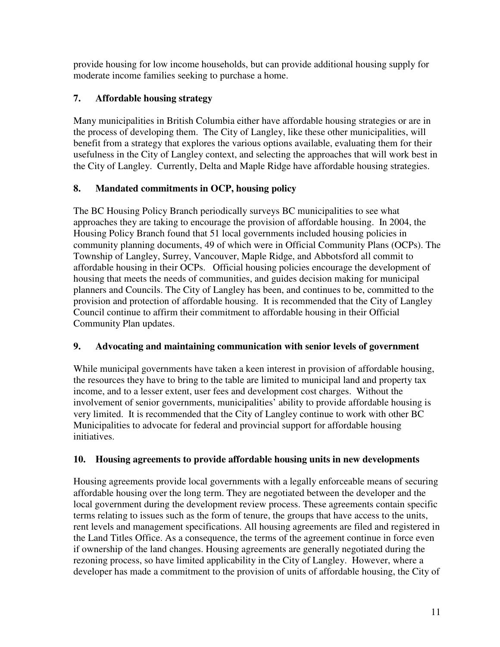provide housing for low income households, but can provide additional housing supply for moderate income families seeking to purchase a home.

# **7. Affordable housing strategy**

Many municipalities in British Columbia either have affordable housing strategies or are in the process of developing them. The City of Langley, like these other municipalities, will benefit from a strategy that explores the various options available, evaluating them for their usefulness in the City of Langley context, and selecting the approaches that will work best in the City of Langley. Currently, Delta and Maple Ridge have affordable housing strategies.

# **8. Mandated commitments in OCP, housing policy**

The BC Housing Policy Branch periodically surveys BC municipalities to see what approaches they are taking to encourage the provision of affordable housing. In 2004, the Housing Policy Branch found that 51 local governments included housing policies in community planning documents, 49 of which were in Official Community Plans (OCPs). The Township of Langley, Surrey, Vancouver, Maple Ridge, and Abbotsford all commit to affordable housing in their OCPs. Official housing policies encourage the development of housing that meets the needs of communities, and guides decision making for municipal planners and Councils. The City of Langley has been, and continues to be, committed to the provision and protection of affordable housing. It is recommended that the City of Langley Council continue to affirm their commitment to affordable housing in their Official Community Plan updates.

# **9. Advocating and maintaining communication with senior levels of government**

While municipal governments have taken a keen interest in provision of affordable housing, the resources they have to bring to the table are limited to municipal land and property tax income, and to a lesser extent, user fees and development cost charges. Without the involvement of senior governments, municipalities' ability to provide affordable housing is very limited. It is recommended that the City of Langley continue to work with other BC Municipalities to advocate for federal and provincial support for affordable housing initiatives.

# **10. Housing agreements to provide affordable housing units in new developments**

Housing agreements provide local governments with a legally enforceable means of securing affordable housing over the long term. They are negotiated between the developer and the local government during the development review process. These agreements contain specific terms relating to issues such as the form of tenure, the groups that have access to the units, rent levels and management specifications. All housing agreements are filed and registered in the Land Titles Office. As a consequence, the terms of the agreement continue in force even if ownership of the land changes. Housing agreements are generally negotiated during the rezoning process, so have limited applicability in the City of Langley. However, where a developer has made a commitment to the provision of units of affordable housing, the City of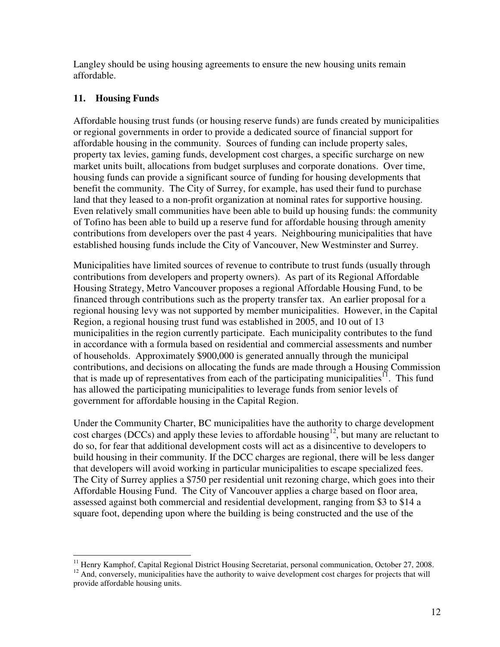Langley should be using housing agreements to ensure the new housing units remain affordable.

### **11. Housing Funds**

 $\overline{a}$ 

Affordable housing trust funds (or housing reserve funds) are funds created by municipalities or regional governments in order to provide a dedicated source of financial support for affordable housing in the community. Sources of funding can include property sales, property tax levies, gaming funds, development cost charges, a specific surcharge on new market units built, allocations from budget surpluses and corporate donations. Over time, housing funds can provide a significant source of funding for housing developments that benefit the community. The City of Surrey, for example, has used their fund to purchase land that they leased to a non-profit organization at nominal rates for supportive housing. Even relatively small communities have been able to build up housing funds: the community of Tofino has been able to build up a reserve fund for affordable housing through amenity contributions from developers over the past 4 years. Neighbouring municipalities that have established housing funds include the City of Vancouver, New Westminster and Surrey.

Municipalities have limited sources of revenue to contribute to trust funds (usually through contributions from developers and property owners). As part of its Regional Affordable Housing Strategy, Metro Vancouver proposes a regional Affordable Housing Fund, to be financed through contributions such as the property transfer tax. An earlier proposal for a regional housing levy was not supported by member municipalities. However, in the Capital Region, a regional housing trust fund was established in 2005, and 10 out of 13 municipalities in the region currently participate. Each municipality contributes to the fund in accordance with a formula based on residential and commercial assessments and number of households. Approximately \$900,000 is generated annually through the municipal contributions, and decisions on allocating the funds are made through a Housing Commission that is made up of representatives from each of the participating municipalities<sup> $II$ </sup>. This fund has allowed the participating municipalities to leverage funds from senior levels of government for affordable housing in the Capital Region.

Under the Community Charter, BC municipalities have the authority to charge development cost charges (DCCs) and apply these levies to affordable housing<sup>12</sup>, but many are reluctant to do so, for fear that additional development costs will act as a disincentive to developers to build housing in their community. If the DCC charges are regional, there will be less danger that developers will avoid working in particular municipalities to escape specialized fees. The City of Surrey applies a \$750 per residential unit rezoning charge, which goes into their Affordable Housing Fund. The City of Vancouver applies a charge based on floor area, assessed against both commercial and residential development, ranging from \$3 to \$14 a square foot, depending upon where the building is being constructed and the use of the

<sup>&</sup>lt;sup>11</sup> Henry Kamphof, Capital Regional District Housing Secretariat, personal communication, October 27, 2008. <sup>12</sup> And, conversely, municipalities have the authority to waive development cost charges for projects that will provide affordable housing units.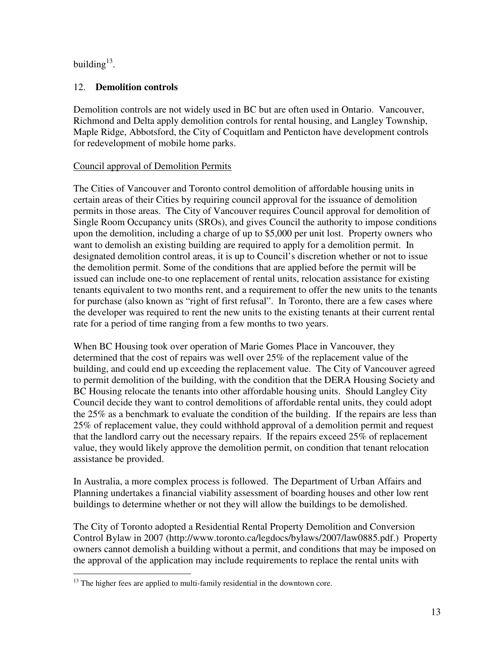building $^{13}$ .

## 12. **Demolition controls**

Demolition controls are not widely used in BC but are often used in Ontario. Vancouver, Richmond and Delta apply demolition controls for rental housing, and Langley Township, Maple Ridge, Abbotsford, the City of Coquitlam and Penticton have development controls for redevelopment of mobile home parks.

## Council approval of Demolition Permits

The Cities of Vancouver and Toronto control demolition of affordable housing units in certain areas of their Cities by requiring council approval for the issuance of demolition permits in those areas. The City of Vancouver requires Council approval for demolition of Single Room Occupancy units (SROs), and gives Council the authority to impose conditions upon the demolition, including a charge of up to \$5,000 per unit lost. Property owners who want to demolish an existing building are required to apply for a demolition permit. In designated demolition control areas, it is up to Council's discretion whether or not to issue the demolition permit. Some of the conditions that are applied before the permit will be issued can include one-to one replacement of rental units, relocation assistance for existing tenants equivalent to two months rent, and a requirement to offer the new units to the tenants for purchase (also known as "right of first refusal". In Toronto, there are a few cases where the developer was required to rent the new units to the existing tenants at their current rental rate for a period of time ranging from a few months to two years.

When BC Housing took over operation of Marie Gomes Place in Vancouver, they determined that the cost of repairs was well over 25% of the replacement value of the building, and could end up exceeding the replacement value. The City of Vancouver agreed to permit demolition of the building, with the condition that the DERA Housing Society and BC Housing relocate the tenants into other affordable housing units. Should Langley City Council decide they want to control demolitions of affordable rental units, they could adopt the 25% as a benchmark to evaluate the condition of the building. If the repairs are less than 25% of replacement value, they could withhold approval of a demolition permit and request that the landlord carry out the necessary repairs. If the repairs exceed 25% of replacement value, they would likely approve the demolition permit, on condition that tenant relocation assistance be provided.

In Australia, a more complex process is followed. The Department of Urban Affairs and Planning undertakes a financial viability assessment of boarding houses and other low rent buildings to determine whether or not they will allow the buildings to be demolished.

The City of Toronto adopted a Residential Rental Property Demolition and Conversion Control Bylaw in 2007 (http://www.toronto.ca/legdocs/bylaws/2007/law0885.pdf.) Property owners cannot demolish a building without a permit, and conditions that may be imposed on the approval of the application may include requirements to replace the rental units with

 $\overline{a}$  $13$  The higher fees are applied to multi-family residential in the downtown core.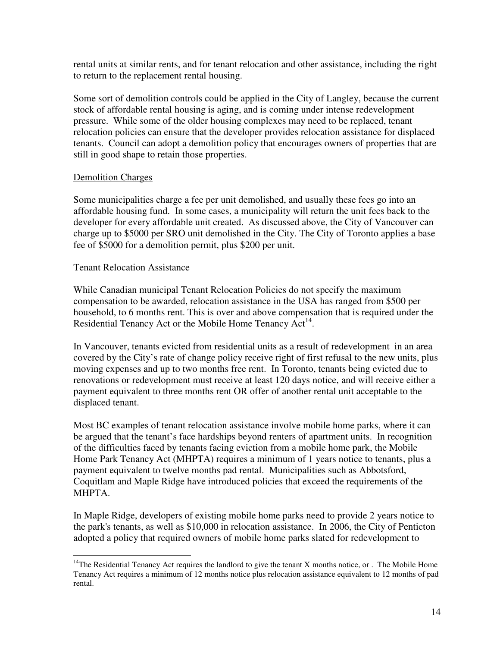rental units at similar rents, and for tenant relocation and other assistance, including the right to return to the replacement rental housing.

Some sort of demolition controls could be applied in the City of Langley, because the current stock of affordable rental housing is aging, and is coming under intense redevelopment pressure. While some of the older housing complexes may need to be replaced, tenant relocation policies can ensure that the developer provides relocation assistance for displaced tenants. Council can adopt a demolition policy that encourages owners of properties that are still in good shape to retain those properties.

#### Demolition Charges

Some municipalities charge a fee per unit demolished, and usually these fees go into an affordable housing fund. In some cases, a municipality will return the unit fees back to the developer for every affordable unit created. As discussed above, the City of Vancouver can charge up to \$5000 per SRO unit demolished in the City. The City of Toronto applies a base fee of \$5000 for a demolition permit, plus \$200 per unit.

#### Tenant Relocation Assistance

While Canadian municipal Tenant Relocation Policies do not specify the maximum compensation to be awarded, relocation assistance in the USA has ranged from \$500 per household, to 6 months rent. This is over and above compensation that is required under the Residential Tenancy Act or the Mobile Home Tenancy  $Act^{14}$ .

In Vancouver, tenants evicted from residential units as a result of redevelopment in an area covered by the City's rate of change policy receive right of first refusal to the new units, plus moving expenses and up to two months free rent. In Toronto, tenants being evicted due to renovations or redevelopment must receive at least 120 days notice, and will receive either a payment equivalent to three months rent OR offer of another rental unit acceptable to the displaced tenant.

Most BC examples of tenant relocation assistance involve mobile home parks, where it can be argued that the tenant's face hardships beyond renters of apartment units. In recognition of the difficulties faced by tenants facing eviction from a mobile home park, the Mobile Home Park Tenancy Act (MHPTA) requires a minimum of 1 years notice to tenants, plus a payment equivalent to twelve months pad rental. Municipalities such as Abbotsford, Coquitlam and Maple Ridge have introduced policies that exceed the requirements of the MHPTA.

In Maple Ridge, developers of existing mobile home parks need to provide 2 years notice to the park's tenants, as well as \$10,000 in relocation assistance. In 2006, the City of Penticton adopted a policy that required owners of mobile home parks slated for redevelopment to

 $\overline{a}$ <sup>14</sup>The Residential Tenancy Act requires the landlord to give the tenant X months notice, or . The Mobile Home Tenancy Act requires a minimum of 12 months notice plus relocation assistance equivalent to 12 months of pad rental.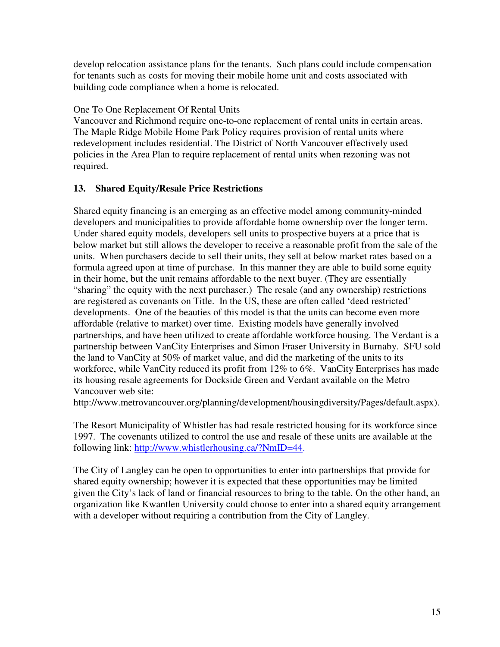develop relocation assistance plans for the tenants. Such plans could include compensation for tenants such as costs for moving their mobile home unit and costs associated with building code compliance when a home is relocated.

#### One To One Replacement Of Rental Units

Vancouver and Richmond require one-to-one replacement of rental units in certain areas. The Maple Ridge Mobile Home Park Policy requires provision of rental units where redevelopment includes residential. The District of North Vancouver effectively used policies in the Area Plan to require replacement of rental units when rezoning was not required.

#### **13. Shared Equity/Resale Price Restrictions**

Shared equity financing is an emerging as an effective model among community-minded developers and municipalities to provide affordable home ownership over the longer term. Under shared equity models, developers sell units to prospective buyers at a price that is below market but still allows the developer to receive a reasonable profit from the sale of the units. When purchasers decide to sell their units, they sell at below market rates based on a formula agreed upon at time of purchase. In this manner they are able to build some equity in their home, but the unit remains affordable to the next buyer. (They are essentially "sharing" the equity with the next purchaser.) The resale (and any ownership) restrictions are registered as covenants on Title. In the US, these are often called 'deed restricted' developments. One of the beauties of this model is that the units can become even more affordable (relative to market) over time. Existing models have generally involved partnerships, and have been utilized to create affordable workforce housing. The Verdant is a partnership between VanCity Enterprises and Simon Fraser University in Burnaby. SFU sold the land to VanCity at 50% of market value, and did the marketing of the units to its workforce, while VanCity reduced its profit from 12% to 6%. VanCity Enterprises has made its housing resale agreements for Dockside Green and Verdant available on the Metro Vancouver web site:

http://www.metrovancouver.org/planning/development/housingdiversity/Pages/default.aspx).

The Resort Municipality of Whistler has had resale restricted housing for its workforce since 1997. The covenants utilized to control the use and resale of these units are available at the following link: http://www.whistlerhousing.ca/?NmID=44.

The City of Langley can be open to opportunities to enter into partnerships that provide for shared equity ownership; however it is expected that these opportunities may be limited given the City's lack of land or financial resources to bring to the table. On the other hand, an organization like Kwantlen University could choose to enter into a shared equity arrangement with a developer without requiring a contribution from the City of Langley.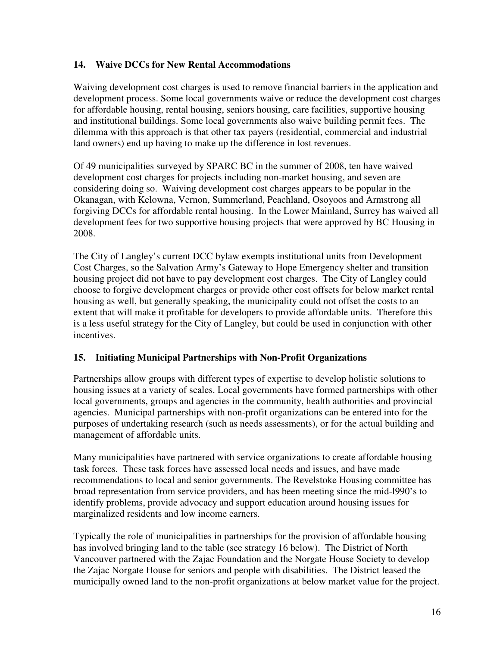#### **14. Waive DCCs for New Rental Accommodations**

Waiving development cost charges is used to remove financial barriers in the application and development process. Some local governments waive or reduce the development cost charges for affordable housing, rental housing, seniors housing, care facilities, supportive housing and institutional buildings. Some local governments also waive building permit fees. The dilemma with this approach is that other tax payers (residential, commercial and industrial land owners) end up having to make up the difference in lost revenues.

Of 49 municipalities surveyed by SPARC BC in the summer of 2008, ten have waived development cost charges for projects including non-market housing, and seven are considering doing so. Waiving development cost charges appears to be popular in the Okanagan, with Kelowna, Vernon, Summerland, Peachland, Osoyoos and Armstrong all forgiving DCCs for affordable rental housing. In the Lower Mainland, Surrey has waived all development fees for two supportive housing projects that were approved by BC Housing in 2008.

The City of Langley's current DCC bylaw exempts institutional units from Development Cost Charges, so the Salvation Army's Gateway to Hope Emergency shelter and transition housing project did not have to pay development cost charges. The City of Langley could choose to forgive development charges or provide other cost offsets for below market rental housing as well, but generally speaking, the municipality could not offset the costs to an extent that will make it profitable for developers to provide affordable units. Therefore this is a less useful strategy for the City of Langley, but could be used in conjunction with other incentives.

#### **15. Initiating Municipal Partnerships with Non-Profit Organizations**

Partnerships allow groups with different types of expertise to develop holistic solutions to housing issues at a variety of scales. Local governments have formed partnerships with other local governments, groups and agencies in the community, health authorities and provincial agencies. Municipal partnerships with non-profit organizations can be entered into for the purposes of undertaking research (such as needs assessments), or for the actual building and management of affordable units.

Many municipalities have partnered with service organizations to create affordable housing task forces. These task forces have assessed local needs and issues, and have made recommendations to local and senior governments. The Revelstoke Housing committee has broad representation from service providers, and has been meeting since the mid-l990's to identify problems, provide advocacy and support education around housing issues for marginalized residents and low income earners.

Typically the role of municipalities in partnerships for the provision of affordable housing has involved bringing land to the table (see strategy 16 below). The District of North Vancouver partnered with the Zajac Foundation and the Norgate House Society to develop the Zajac Norgate House for seniors and people with disabilities. The District leased the municipally owned land to the non-profit organizations at below market value for the project.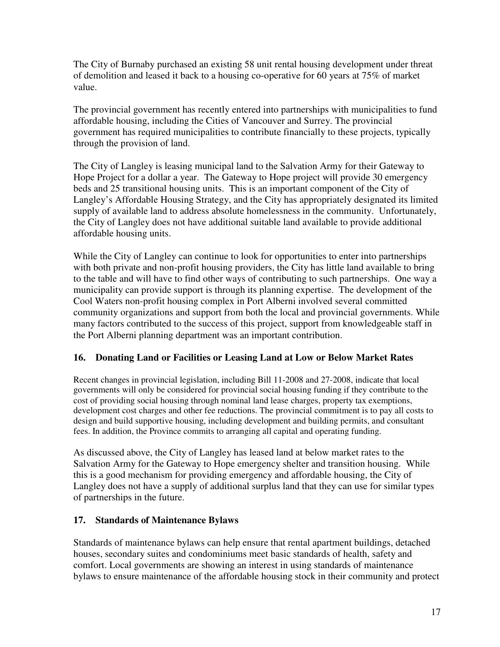The City of Burnaby purchased an existing 58 unit rental housing development under threat of demolition and leased it back to a housing co-operative for 60 years at 75% of market value.

The provincial government has recently entered into partnerships with municipalities to fund affordable housing, including the Cities of Vancouver and Surrey. The provincial government has required municipalities to contribute financially to these projects, typically through the provision of land.

The City of Langley is leasing municipal land to the Salvation Army for their Gateway to Hope Project for a dollar a year. The Gateway to Hope project will provide 30 emergency beds and 25 transitional housing units. This is an important component of the City of Langley's Affordable Housing Strategy, and the City has appropriately designated its limited supply of available land to address absolute homelessness in the community. Unfortunately, the City of Langley does not have additional suitable land available to provide additional affordable housing units.

While the City of Langley can continue to look for opportunities to enter into partnerships with both private and non-profit housing providers, the City has little land available to bring to the table and will have to find other ways of contributing to such partnerships. One way a municipality can provide support is through its planning expertise. The development of the Cool Waters non-profit housing complex in Port Alberni involved several committed community organizations and support from both the local and provincial governments. While many factors contributed to the success of this project, support from knowledgeable staff in the Port Alberni planning department was an important contribution.

#### **16. Donating Land or Facilities or Leasing Land at Low or Below Market Rates**

Recent changes in provincial legislation, including Bill 11-2008 and 27-2008, indicate that local governments will only be considered for provincial social housing funding if they contribute to the cost of providing social housing through nominal land lease charges, property tax exemptions, development cost charges and other fee reductions. The provincial commitment is to pay all costs to design and build supportive housing, including development and building permits, and consultant fees. In addition, the Province commits to arranging all capital and operating funding.

As discussed above, the City of Langley has leased land at below market rates to the Salvation Army for the Gateway to Hope emergency shelter and transition housing. While this is a good mechanism for providing emergency and affordable housing, the City of Langley does not have a supply of additional surplus land that they can use for similar types of partnerships in the future.

#### **17. Standards of Maintenance Bylaws**

Standards of maintenance bylaws can help ensure that rental apartment buildings, detached houses, secondary suites and condominiums meet basic standards of health, safety and comfort. Local governments are showing an interest in using standards of maintenance bylaws to ensure maintenance of the affordable housing stock in their community and protect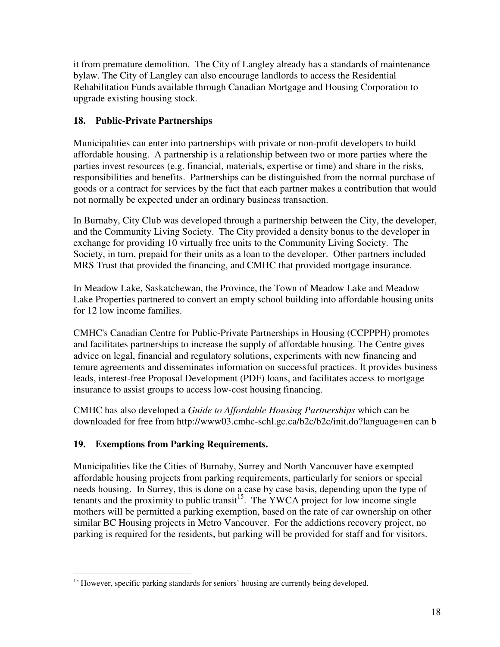it from premature demolition. The City of Langley already has a standards of maintenance bylaw. The City of Langley can also encourage landlords to access the Residential Rehabilitation Funds available through Canadian Mortgage and Housing Corporation to upgrade existing housing stock.

## **18. Public-Private Partnerships**

Municipalities can enter into partnerships with private or non-profit developers to build affordable housing. A partnership is a relationship between two or more parties where the parties invest resources (e.g. financial, materials, expertise or time) and share in the risks, responsibilities and benefits. Partnerships can be distinguished from the normal purchase of goods or a contract for services by the fact that each partner makes a contribution that would not normally be expected under an ordinary business transaction.

In Burnaby, City Club was developed through a partnership between the City, the developer, and the Community Living Society. The City provided a density bonus to the developer in exchange for providing 10 virtually free units to the Community Living Society. The Society, in turn, prepaid for their units as a loan to the developer. Other partners included MRS Trust that provided the financing, and CMHC that provided mortgage insurance.

In Meadow Lake, Saskatchewan, the Province, the Town of Meadow Lake and Meadow Lake Properties partnered to convert an empty school building into affordable housing units for 12 low income families.

CMHC's Canadian Centre for Public-Private Partnerships in Housing (CCPPPH) promotes and facilitates partnerships to increase the supply of affordable housing. The Centre gives advice on legal, financial and regulatory solutions, experiments with new financing and tenure agreements and disseminates information on successful practices. It provides business leads, interest-free Proposal Development (PDF) loans, and facilitates access to mortgage insurance to assist groups to access low-cost housing financing.

CMHC has also developed a *Guide to Affordable Housing Partnerships* which can be downloaded for free from http://www03.cmhc-schl.gc.ca/b2c/b2c/init.do?language=en can b

## **19. Exemptions from Parking Requirements.**

Municipalities like the Cities of Burnaby, Surrey and North Vancouver have exempted affordable housing projects from parking requirements, particularly for seniors or special needs housing. In Surrey, this is done on a case by case basis, depending upon the type of tenants and the proximity to public transit<sup>15</sup>. The YWCA project for low income single mothers will be permitted a parking exemption, based on the rate of car ownership on other similar BC Housing projects in Metro Vancouver. For the addictions recovery project, no parking is required for the residents, but parking will be provided for staff and for visitors.

 $\overline{a}$ <sup>15</sup> However, specific parking standards for seniors' housing are currently being developed.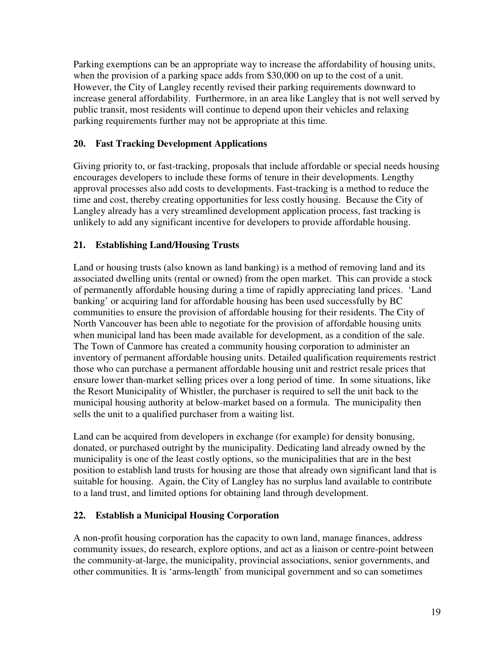Parking exemptions can be an appropriate way to increase the affordability of housing units, when the provision of a parking space adds from \$30,000 on up to the cost of a unit. However, the City of Langley recently revised their parking requirements downward to increase general affordability. Furthermore, in an area like Langley that is not well served by public transit, most residents will continue to depend upon their vehicles and relaxing parking requirements further may not be appropriate at this time.

## **20. Fast Tracking Development Applications**

Giving priority to, or fast-tracking, proposals that include affordable or special needs housing encourages developers to include these forms of tenure in their developments. Lengthy approval processes also add costs to developments. Fast-tracking is a method to reduce the time and cost, thereby creating opportunities for less costly housing. Because the City of Langley already has a very streamlined development application process, fast tracking is unlikely to add any significant incentive for developers to provide affordable housing.

## **21. Establishing Land/Housing Trusts**

Land or housing trusts (also known as land banking) is a method of removing land and its associated dwelling units (rental or owned) from the open market. This can provide a stock of permanently affordable housing during a time of rapidly appreciating land prices. 'Land banking' or acquiring land for affordable housing has been used successfully by BC communities to ensure the provision of affordable housing for their residents. The City of North Vancouver has been able to negotiate for the provision of affordable housing units when municipal land has been made available for development, as a condition of the sale. The Town of Canmore has created a community housing corporation to administer an inventory of permanent affordable housing units. Detailed qualification requirements restrict those who can purchase a permanent affordable housing unit and restrict resale prices that ensure lower than-market selling prices over a long period of time. In some situations, like the Resort Municipality of Whistler, the purchaser is required to sell the unit back to the municipal housing authority at below-market based on a formula. The municipality then sells the unit to a qualified purchaser from a waiting list.

Land can be acquired from developers in exchange (for example) for density bonusing, donated, or purchased outright by the municipality. Dedicating land already owned by the municipality is one of the least costly options, so the municipalities that are in the best position to establish land trusts for housing are those that already own significant land that is suitable for housing. Again, the City of Langley has no surplus land available to contribute to a land trust, and limited options for obtaining land through development.

#### **22. Establish a Municipal Housing Corporation**

A non-profit housing corporation has the capacity to own land, manage finances, address community issues, do research, explore options, and act as a liaison or centre-point between the community-at-large, the municipality, provincial associations, senior governments, and other communities. It is 'arms-length' from municipal government and so can sometimes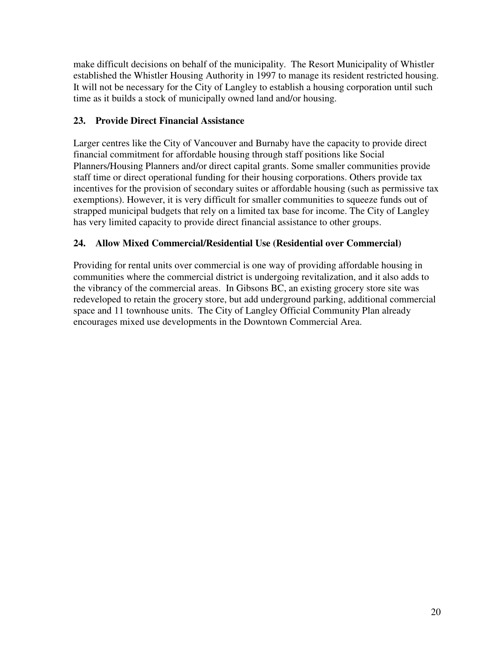make difficult decisions on behalf of the municipality. The Resort Municipality of Whistler established the Whistler Housing Authority in 1997 to manage its resident restricted housing. It will not be necessary for the City of Langley to establish a housing corporation until such time as it builds a stock of municipally owned land and/or housing.

## **23. Provide Direct Financial Assistance**

Larger centres like the City of Vancouver and Burnaby have the capacity to provide direct financial commitment for affordable housing through staff positions like Social Planners/Housing Planners and/or direct capital grants. Some smaller communities provide staff time or direct operational funding for their housing corporations. Others provide tax incentives for the provision of secondary suites or affordable housing (such as permissive tax exemptions). However, it is very difficult for smaller communities to squeeze funds out of strapped municipal budgets that rely on a limited tax base for income. The City of Langley has very limited capacity to provide direct financial assistance to other groups.

## **24. Allow Mixed Commercial/Residential Use (Residential over Commercial)**

Providing for rental units over commercial is one way of providing affordable housing in communities where the commercial district is undergoing revitalization, and it also adds to the vibrancy of the commercial areas. In Gibsons BC, an existing grocery store site was redeveloped to retain the grocery store, but add underground parking, additional commercial space and 11 townhouse units. The City of Langley Official Community Plan already encourages mixed use developments in the Downtown Commercial Area.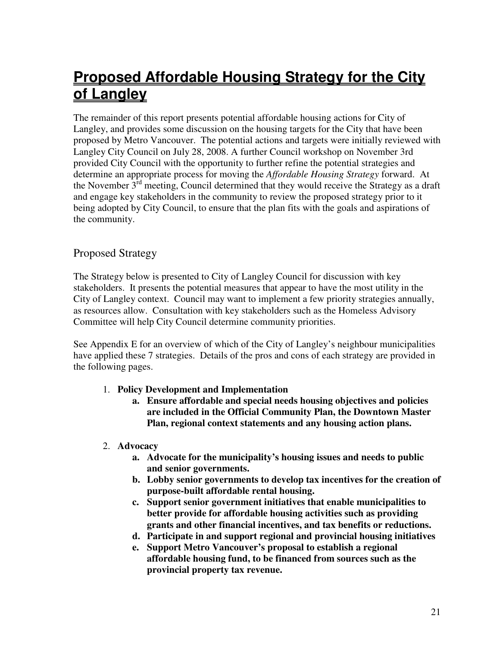# **Proposed Affordable Housing Strategy for the City of Langley**

The remainder of this report presents potential affordable housing actions for City of Langley, and provides some discussion on the housing targets for the City that have been proposed by Metro Vancouver. The potential actions and targets were initially reviewed with Langley City Council on July 28, 2008. A further Council workshop on November 3rd provided City Council with the opportunity to further refine the potential strategies and determine an appropriate process for moving the *Affordable Housing Strategy* forward. At the November  $3<sup>rd</sup>$  meeting, Council determined that they would receive the Strategy as a draft and engage key stakeholders in the community to review the proposed strategy prior to it being adopted by City Council, to ensure that the plan fits with the goals and aspirations of the community.

# Proposed Strategy

The Strategy below is presented to City of Langley Council for discussion with key stakeholders. It presents the potential measures that appear to have the most utility in the City of Langley context. Council may want to implement a few priority strategies annually, as resources allow. Consultation with key stakeholders such as the Homeless Advisory Committee will help City Council determine community priorities.

See Appendix E for an overview of which of the City of Langley's neighbour municipalities have applied these 7 strategies. Details of the pros and cons of each strategy are provided in the following pages.

- 1. **Policy Development and Implementation** 
	- **a. Ensure affordable and special needs housing objectives and policies are included in the Official Community Plan, the Downtown Master Plan, regional context statements and any housing action plans.**
- 2. **Advocacy** 
	- **a. Advocate for the municipality's housing issues and needs to public and senior governments.**
	- **b. Lobby senior governments to develop tax incentives for the creation of purpose-built affordable rental housing.**
	- **c. Support senior government initiatives that enable municipalities to better provide for affordable housing activities such as providing grants and other financial incentives, and tax benefits or reductions.**
	- **d. Participate in and support regional and provincial housing initiatives**
	- **e. Support Metro Vancouver's proposal to establish a regional affordable housing fund, to be financed from sources such as the provincial property tax revenue.**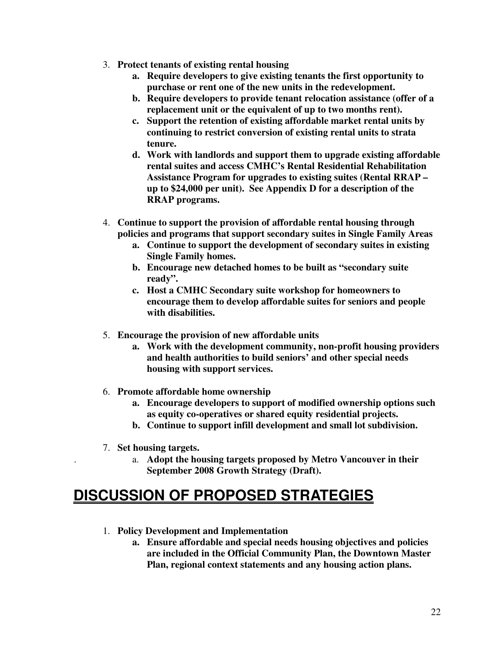- 3. **Protect tenants of existing rental housing** 
	- **a. Require developers to give existing tenants the first opportunity to purchase or rent one of the new units in the redevelopment.**
	- **b. Require developers to provide tenant relocation assistance (offer of a replacement unit or the equivalent of up to two months rent).**
	- **c. Support the retention of existing affordable market rental units by continuing to restrict conversion of existing rental units to strata tenure.**
	- **d. Work with landlords and support them to upgrade existing affordable rental suites and access CMHC's Rental Residential Rehabilitation Assistance Program for upgrades to existing suites (Rental RRAP – up to \$24,000 per unit). See Appendix D for a description of the RRAP programs.**
- 4. **Continue to support the provision of affordable rental housing through policies and programs that support secondary suites in Single Family Areas** 
	- **a. Continue to support the development of secondary suites in existing Single Family homes.**
	- **b. Encourage new detached homes to be built as "secondary suite ready".**
	- **c. Host a CMHC Secondary suite workshop for homeowners to encourage them to develop affordable suites for seniors and people with disabilities.**
- 5. **Encourage the provision of new affordable units** 
	- **a. Work with the development community, non-profit housing providers and health authorities to build seniors' and other special needs housing with support services.**
- 6. **Promote affordable home ownership** 
	- **a. Encourage developers to support of modified ownership options such as equity co-operatives or shared equity residential projects.**
	- **b. Continue to support infill development and small lot subdivision.**
- 7. **Set housing targets.**

.

a. **Adopt the housing targets proposed by Metro Vancouver in their September 2008 Growth Strategy (Draft).** 

# **DISCUSSION OF PROPOSED STRATEGIES**

- 1. **Policy Development and Implementation** 
	- **a. Ensure affordable and special needs housing objectives and policies are included in the Official Community Plan, the Downtown Master Plan, regional context statements and any housing action plans.**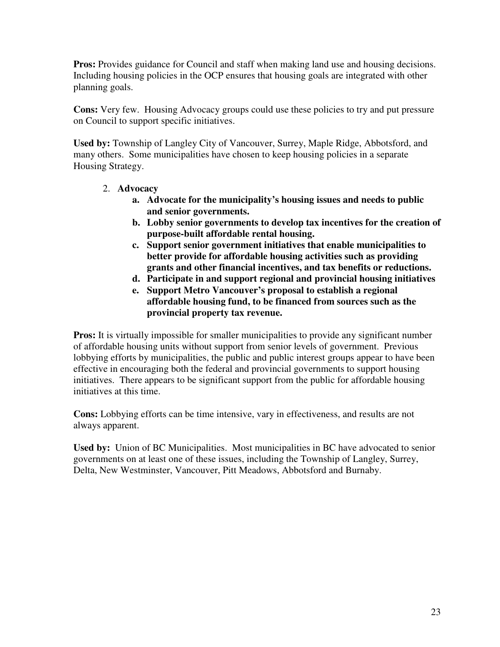**Pros:** Provides guidance for Council and staff when making land use and housing decisions. Including housing policies in the OCP ensures that housing goals are integrated with other planning goals.

**Cons:** Very few. Housing Advocacy groups could use these policies to try and put pressure on Council to support specific initiatives.

**Used by:** Township of Langley City of Vancouver, Surrey, Maple Ridge, Abbotsford, and many others. Some municipalities have chosen to keep housing policies in a separate Housing Strategy.

- 2. **Advocacy** 
	- **a. Advocate for the municipality's housing issues and needs to public and senior governments.**
	- **b. Lobby senior governments to develop tax incentives for the creation of purpose-built affordable rental housing.**
	- **c. Support senior government initiatives that enable municipalities to better provide for affordable housing activities such as providing grants and other financial incentives, and tax benefits or reductions.**
	- **d. Participate in and support regional and provincial housing initiatives**
	- **e. Support Metro Vancouver's proposal to establish a regional affordable housing fund, to be financed from sources such as the provincial property tax revenue.**

**Pros:** It is virtually impossible for smaller municipalities to provide any significant number of affordable housing units without support from senior levels of government. Previous lobbying efforts by municipalities, the public and public interest groups appear to have been effective in encouraging both the federal and provincial governments to support housing initiatives. There appears to be significant support from the public for affordable housing initiatives at this time.

**Cons:** Lobbying efforts can be time intensive, vary in effectiveness, and results are not always apparent.

**Used by:** Union of BC Municipalities. Most municipalities in BC have advocated to senior governments on at least one of these issues, including the Township of Langley, Surrey, Delta, New Westminster, Vancouver, Pitt Meadows, Abbotsford and Burnaby.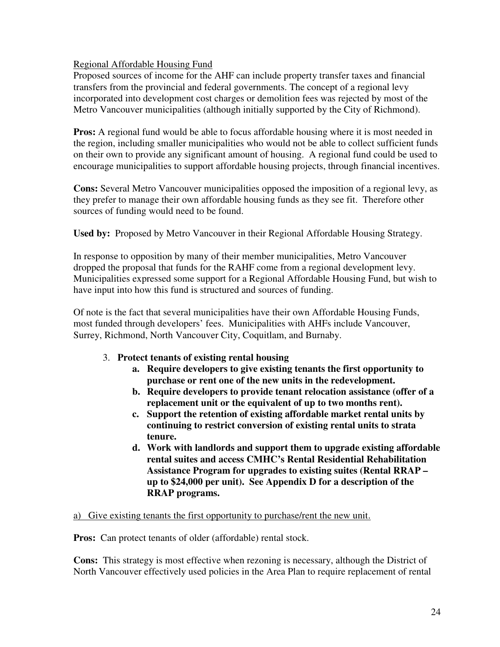#### Regional Affordable Housing Fund

Proposed sources of income for the AHF can include property transfer taxes and financial transfers from the provincial and federal governments. The concept of a regional levy incorporated into development cost charges or demolition fees was rejected by most of the Metro Vancouver municipalities (although initially supported by the City of Richmond).

**Pros:** A regional fund would be able to focus affordable housing where it is most needed in the region, including smaller municipalities who would not be able to collect sufficient funds on their own to provide any significant amount of housing. A regional fund could be used to encourage municipalities to support affordable housing projects, through financial incentives.

**Cons:** Several Metro Vancouver municipalities opposed the imposition of a regional levy, as they prefer to manage their own affordable housing funds as they see fit. Therefore other sources of funding would need to be found.

**Used by:** Proposed by Metro Vancouver in their Regional Affordable Housing Strategy.

In response to opposition by many of their member municipalities, Metro Vancouver dropped the proposal that funds for the RAHF come from a regional development levy. Municipalities expressed some support for a Regional Affordable Housing Fund, but wish to have input into how this fund is structured and sources of funding.

Of note is the fact that several municipalities have their own Affordable Housing Funds, most funded through developers' fees. Municipalities with AHFs include Vancouver, Surrey, Richmond, North Vancouver City, Coquitlam, and Burnaby.

#### 3. **Protect tenants of existing rental housing**

- **a. Require developers to give existing tenants the first opportunity to purchase or rent one of the new units in the redevelopment.**
- **b. Require developers to provide tenant relocation assistance (offer of a replacement unit or the equivalent of up to two months rent).**
- **c. Support the retention of existing affordable market rental units by continuing to restrict conversion of existing rental units to strata tenure.**
- **d. Work with landlords and support them to upgrade existing affordable rental suites and access CMHC's Rental Residential Rehabilitation Assistance Program for upgrades to existing suites (Rental RRAP – up to \$24,000 per unit). See Appendix D for a description of the RRAP programs.**

a) Give existing tenants the first opportunity to purchase/rent the new unit.

**Pros:** Can protect tenants of older (affordable) rental stock.

**Cons:** This strategy is most effective when rezoning is necessary, although the District of North Vancouver effectively used policies in the Area Plan to require replacement of rental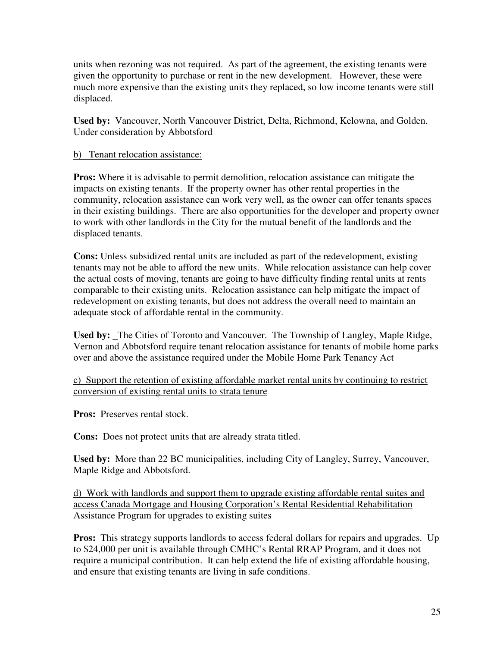units when rezoning was not required. As part of the agreement, the existing tenants were given the opportunity to purchase or rent in the new development. However, these were much more expensive than the existing units they replaced, so low income tenants were still displaced.

**Used by:** Vancouver, North Vancouver District, Delta, Richmond, Kelowna, and Golden. Under consideration by Abbotsford

#### b) Tenant relocation assistance:

**Pros:** Where it is advisable to permit demolition, relocation assistance can mitigate the impacts on existing tenants. If the property owner has other rental properties in the community, relocation assistance can work very well, as the owner can offer tenants spaces in their existing buildings. There are also opportunities for the developer and property owner to work with other landlords in the City for the mutual benefit of the landlords and the displaced tenants.

**Cons:** Unless subsidized rental units are included as part of the redevelopment, existing tenants may not be able to afford the new units. While relocation assistance can help cover the actual costs of moving, tenants are going to have difficulty finding rental units at rents comparable to their existing units. Relocation assistance can help mitigate the impact of redevelopment on existing tenants, but does not address the overall need to maintain an adequate stock of affordable rental in the community.

**Used by:** The Cities of Toronto and Vancouver. The Township of Langley, Maple Ridge, Vernon and Abbotsford require tenant relocation assistance for tenants of mobile home parks over and above the assistance required under the Mobile Home Park Tenancy Act

c) Support the retention of existing affordable market rental units by continuing to restrict conversion of existing rental units to strata tenure

**Pros:** Preserves rental stock.

**Cons:** Does not protect units that are already strata titled.

**Used by:** More than 22 BC municipalities, including City of Langley, Surrey, Vancouver, Maple Ridge and Abbotsford.

d) Work with landlords and support them to upgrade existing affordable rental suites and access Canada Mortgage and Housing Corporation's Rental Residential Rehabilitation Assistance Program for upgrades to existing suites

**Pros:** This strategy supports landlords to access federal dollars for repairs and upgrades. Up to \$24,000 per unit is available through CMHC's Rental RRAP Program, and it does not require a municipal contribution. It can help extend the life of existing affordable housing, and ensure that existing tenants are living in safe conditions.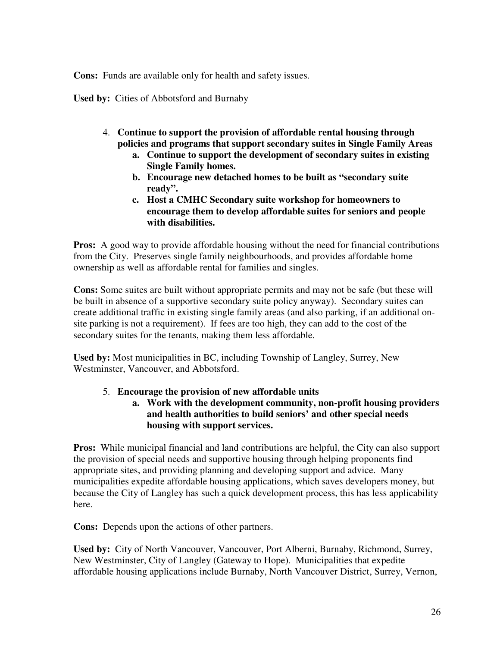**Cons:** Funds are available only for health and safety issues.

**Used by:** Cities of Abbotsford and Burnaby

- 4. **Continue to support the provision of affordable rental housing through policies and programs that support secondary suites in Single Family Areas** 
	- **a. Continue to support the development of secondary suites in existing Single Family homes.**
	- **b. Encourage new detached homes to be built as "secondary suite ready".**
	- **c. Host a CMHC Secondary suite workshop for homeowners to encourage them to develop affordable suites for seniors and people with disabilities.**

**Pros:** A good way to provide affordable housing without the need for financial contributions from the City. Preserves single family neighbourhoods, and provides affordable home ownership as well as affordable rental for families and singles.

**Cons:** Some suites are built without appropriate permits and may not be safe (but these will be built in absence of a supportive secondary suite policy anyway). Secondary suites can create additional traffic in existing single family areas (and also parking, if an additional onsite parking is not a requirement). If fees are too high, they can add to the cost of the secondary suites for the tenants, making them less affordable.

**Used by:** Most municipalities in BC, including Township of Langley, Surrey, New Westminster, Vancouver, and Abbotsford.

#### 5. **Encourage the provision of new affordable units**

**a. Work with the development community, non-profit housing providers and health authorities to build seniors' and other special needs housing with support services.** 

**Pros:** While municipal financial and land contributions are helpful, the City can also support the provision of special needs and supportive housing through helping proponents find appropriate sites, and providing planning and developing support and advice. Many municipalities expedite affordable housing applications, which saves developers money, but because the City of Langley has such a quick development process, this has less applicability here.

**Cons:** Depends upon the actions of other partners.

**Used by:** City of North Vancouver, Vancouver, Port Alberni, Burnaby, Richmond, Surrey, New Westminster, City of Langley (Gateway to Hope). Municipalities that expedite affordable housing applications include Burnaby, North Vancouver District, Surrey, Vernon,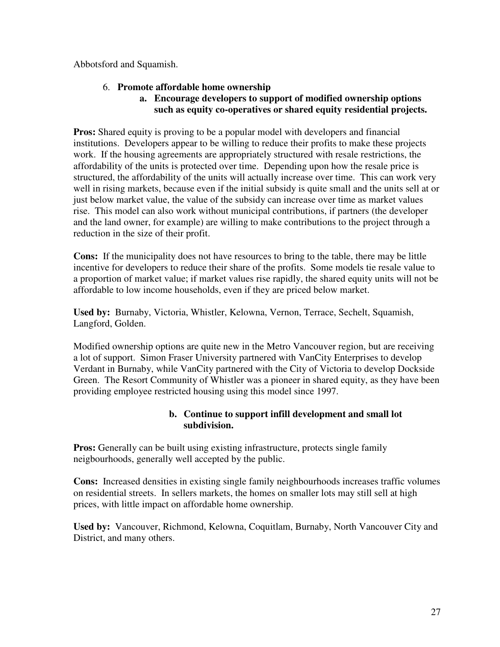Abbotsford and Squamish.

### 6. **Promote affordable home ownership**

#### **a. Encourage developers to support of modified ownership options such as equity co-operatives or shared equity residential projects.**

**Pros:** Shared equity is proving to be a popular model with developers and financial institutions. Developers appear to be willing to reduce their profits to make these projects work. If the housing agreements are appropriately structured with resale restrictions, the affordability of the units is protected over time. Depending upon how the resale price is structured, the affordability of the units will actually increase over time. This can work very well in rising markets, because even if the initial subsidy is quite small and the units sell at or just below market value, the value of the subsidy can increase over time as market values rise. This model can also work without municipal contributions, if partners (the developer and the land owner, for example) are willing to make contributions to the project through a reduction in the size of their profit.

**Cons:** If the municipality does not have resources to bring to the table, there may be little incentive for developers to reduce their share of the profits. Some models tie resale value to a proportion of market value; if market values rise rapidly, the shared equity units will not be affordable to low income households, even if they are priced below market.

**Used by:** Burnaby, Victoria, Whistler, Kelowna, Vernon, Terrace, Sechelt, Squamish, Langford, Golden.

Modified ownership options are quite new in the Metro Vancouver region, but are receiving a lot of support. Simon Fraser University partnered with VanCity Enterprises to develop Verdant in Burnaby, while VanCity partnered with the City of Victoria to develop Dockside Green. The Resort Community of Whistler was a pioneer in shared equity, as they have been providing employee restricted housing using this model since 1997.

#### **b. Continue to support infill development and small lot subdivision.**

**Pros:** Generally can be built using existing infrastructure, protects single family neigbourhoods, generally well accepted by the public.

**Cons:** Increased densities in existing single family neighbourhoods increases traffic volumes on residential streets. In sellers markets, the homes on smaller lots may still sell at high prices, with little impact on affordable home ownership.

**Used by:** Vancouver, Richmond, Kelowna, Coquitlam, Burnaby, North Vancouver City and District, and many others.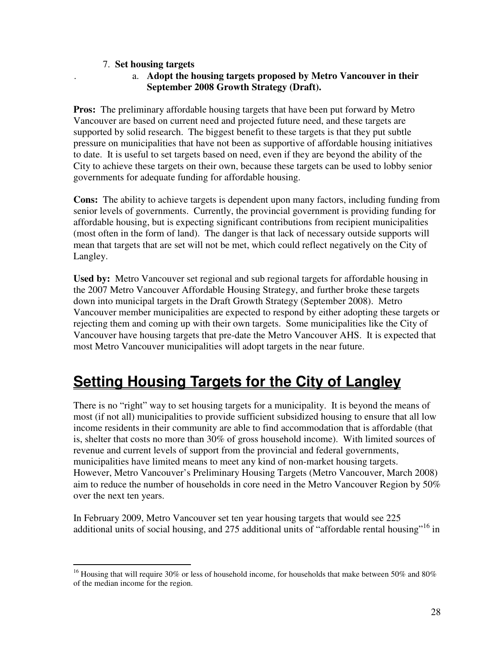#### 7. **Set housing targets**

.

#### a. **Adopt the housing targets proposed by Metro Vancouver in their September 2008 Growth Strategy (Draft).**

**Pros:** The preliminary affordable housing targets that have been put forward by Metro Vancouver are based on current need and projected future need, and these targets are supported by solid research. The biggest benefit to these targets is that they put subtle pressure on municipalities that have not been as supportive of affordable housing initiatives to date. It is useful to set targets based on need, even if they are beyond the ability of the City to achieve these targets on their own, because these targets can be used to lobby senior governments for adequate funding for affordable housing.

**Cons:** The ability to achieve targets is dependent upon many factors, including funding from senior levels of governments. Currently, the provincial government is providing funding for affordable housing, but is expecting significant contributions from recipient municipalities (most often in the form of land). The danger is that lack of necessary outside supports will mean that targets that are set will not be met, which could reflect negatively on the City of Langley.

**Used by:** Metro Vancouver set regional and sub regional targets for affordable housing in the 2007 Metro Vancouver Affordable Housing Strategy, and further broke these targets down into municipal targets in the Draft Growth Strategy (September 2008). Metro Vancouver member municipalities are expected to respond by either adopting these targets or rejecting them and coming up with their own targets. Some municipalities like the City of Vancouver have housing targets that pre-date the Metro Vancouver AHS. It is expected that most Metro Vancouver municipalities will adopt targets in the near future.

# **Setting Housing Targets for the City of Langley**

There is no "right" way to set housing targets for a municipality. It is beyond the means of most (if not all) municipalities to provide sufficient subsidized housing to ensure that all low income residents in their community are able to find accommodation that is affordable (that is, shelter that costs no more than 30% of gross household income). With limited sources of revenue and current levels of support from the provincial and federal governments, municipalities have limited means to meet any kind of non-market housing targets. However, Metro Vancouver's Preliminary Housing Targets (Metro Vancouver, March 2008) aim to reduce the number of households in core need in the Metro Vancouver Region by 50% over the next ten years.

In February 2009, Metro Vancouver set ten year housing targets that would see 225 additional units of social housing, and 275 additional units of "affordable rental housing"<sup>16</sup> in

 $\overline{a}$ <sup>16</sup> Housing that will require 30% or less of household income, for households that make between 50% and 80% of the median income for the region.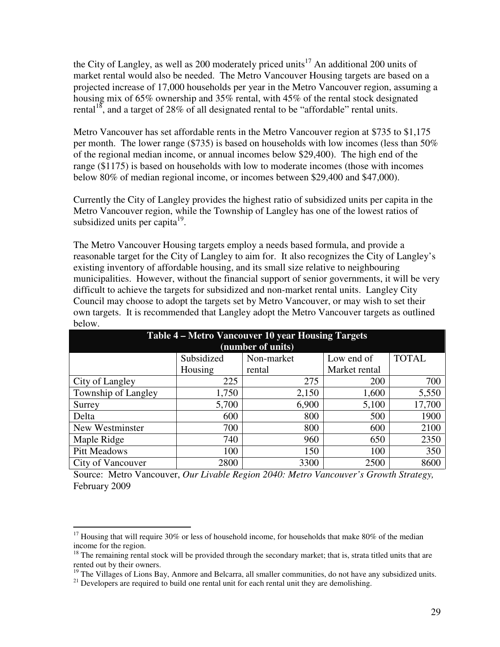the City of Langley, as well as 200 moderately priced units<sup>17</sup> An additional 200 units of market rental would also be needed. The Metro Vancouver Housing targets are based on a projected increase of 17,000 households per year in the Metro Vancouver region, assuming a housing mix of 65% ownership and 35% rental, with 45% of the rental stock designated rental<sup>18</sup>, and a target of 28% of all designated rental to be "affordable" rental units.

Metro Vancouver has set affordable rents in the Metro Vancouver region at \$735 to \$1,175 per month. The lower range (\$735) is based on households with low incomes (less than 50% of the regional median income, or annual incomes below \$29,400). The high end of the range (\$1175) is based on households with low to moderate incomes (those with incomes below 80% of median regional income, or incomes between \$29,400 and \$47,000).

Currently the City of Langley provides the highest ratio of subsidized units per capita in the Metro Vancouver region, while the Township of Langley has one of the lowest ratios of subsidized units per capita<sup>19</sup>.

The Metro Vancouver Housing targets employ a needs based formula, and provide a reasonable target for the City of Langley to aim for. It also recognizes the City of Langley's existing inventory of affordable housing, and its small size relative to neighbouring municipalities. However, without the financial support of senior governments, it will be very difficult to achieve the targets for subsidized and non-market rental units. Langley City Council may choose to adopt the targets set by Metro Vancouver, or may wish to set their own targets. It is recommended that Langley adopt the Metro Vancouver targets as outlined below.

| Table 4 – Metro Vancouver 10 year Housing Targets      |         |                   |               |        |  |
|--------------------------------------------------------|---------|-------------------|---------------|--------|--|
|                                                        |         | (number of units) |               |        |  |
| Subsidized<br><b>TOTAL</b><br>Low end of<br>Non-market |         |                   |               |        |  |
|                                                        | Housing | rental            | Market rental |        |  |
| City of Langley                                        | 225     | 275               | 200           | 700    |  |
| Township of Langley                                    | 1,750   | 2,150             | 1,600         | 5,550  |  |
| Surrey                                                 | 5,700   | 6,900             | 5,100         | 17,700 |  |
| Delta                                                  | 600     | 800               | 500           | 1900   |  |
| New Westminster                                        | 700     | 800               | 600           | 2100   |  |
| Maple Ridge                                            | 740     | 960               | 650           | 2350   |  |
| <b>Pitt Meadows</b>                                    | 100     | 150               | 100           | 350    |  |
| City of Vancouver                                      | 2800    | 3300              | 2500          | 8600   |  |

Source: Metro Vancouver, *Our Livable Region 2040: Metro Vancouver's Growth Strategy,*  February 2009

 $\overline{a}$  $17$  Housing that will require 30% or less of household income, for households that make 80% of the median income for the region.

<sup>&</sup>lt;sup>18</sup> The remaining rental stock will be provided through the secondary market; that is, strata titled units that are rented out by their owners.

<sup>&</sup>lt;sup>19</sup> The Villages of Lions Bay, Anmore and Belcarra, all smaller communities, do not have any subsidized units.

 $21$  Developers are required to build one rental unit for each rental unit they are demolishing.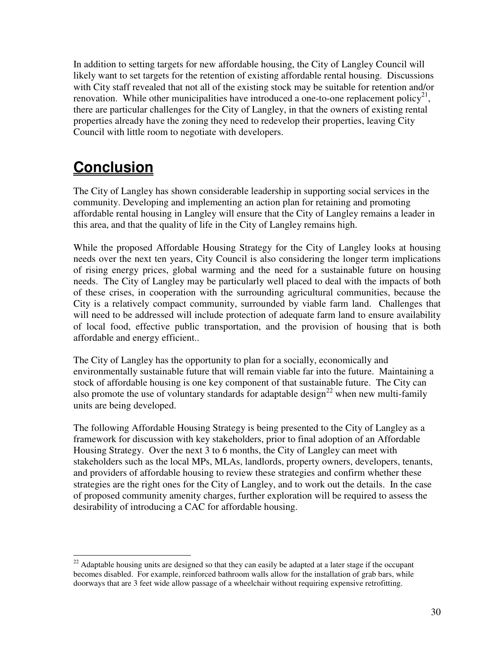In addition to setting targets for new affordable housing, the City of Langley Council will likely want to set targets for the retention of existing affordable rental housing. Discussions with City staff revealed that not all of the existing stock may be suitable for retention and/or renovation. While other municipalities have introduced a one-to-one replacement policy<sup>21</sup>, there are particular challenges for the City of Langley, in that the owners of existing rental properties already have the zoning they need to redevelop their properties, leaving City Council with little room to negotiate with developers.

# **Conclusion**

The City of Langley has shown considerable leadership in supporting social services in the community. Developing and implementing an action plan for retaining and promoting affordable rental housing in Langley will ensure that the City of Langley remains a leader in this area, and that the quality of life in the City of Langley remains high.

While the proposed Affordable Housing Strategy for the City of Langley looks at housing needs over the next ten years, City Council is also considering the longer term implications of rising energy prices, global warming and the need for a sustainable future on housing needs. The City of Langley may be particularly well placed to deal with the impacts of both of these crises, in cooperation with the surrounding agricultural communities, because the City is a relatively compact community, surrounded by viable farm land. Challenges that will need to be addressed will include protection of adequate farm land to ensure availability of local food, effective public transportation, and the provision of housing that is both affordable and energy efficient..

The City of Langley has the opportunity to plan for a socially, economically and environmentally sustainable future that will remain viable far into the future. Maintaining a stock of affordable housing is one key component of that sustainable future. The City can also promote the use of voluntary standards for adaptable design<sup>22</sup> when new multi-family units are being developed.

The following Affordable Housing Strategy is being presented to the City of Langley as a framework for discussion with key stakeholders, prior to final adoption of an Affordable Housing Strategy. Over the next 3 to 6 months, the City of Langley can meet with stakeholders such as the local MPs, MLAs, landlords, property owners, developers, tenants, and providers of affordable housing to review these strategies and confirm whether these strategies are the right ones for the City of Langley, and to work out the details. In the case of proposed community amenity charges, further exploration will be required to assess the desirability of introducing a CAC for affordable housing.

 $\overline{a}$  $22$  Adaptable housing units are designed so that they can easily be adapted at a later stage if the occupant becomes disabled. For example, reinforced bathroom walls allow for the installation of grab bars, while doorways that are 3 feet wide allow passage of a wheelchair without requiring expensive retrofitting.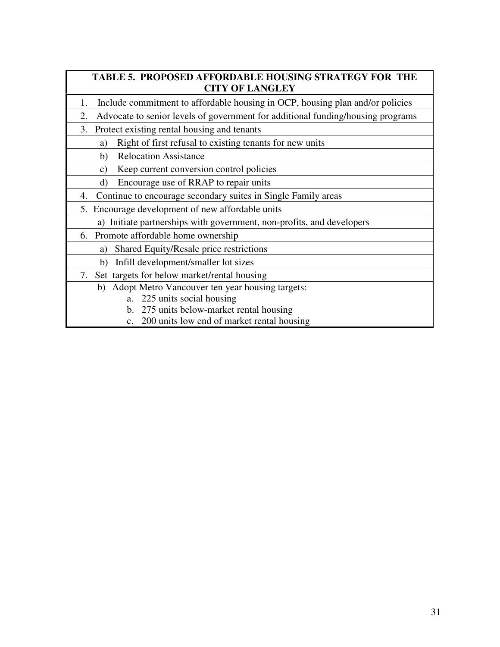## **TABLE 5. PROPOSED AFFORDABLE HOUSING STRATEGY FOR THE CITY OF LANGLEY**

- 1. Include commitment to affordable housing in OCP, housing plan and/or policies
- 2. Advocate to senior levels of government for additional funding/housing programs
- 3. Protect existing rental housing and tenants
	- a) Right of first refusal to existing tenants for new units
	- b) Relocation Assistance
	- c) Keep current conversion control policies
	- d) Encourage use of RRAP to repair units
- 4. Continue to encourage secondary suites in Single Family areas
- 5. Encourage development of new affordable units
	- a) Initiate partnerships with government, non-profits, and developers
- 6. Promote affordable home ownership
	- a) Shared Equity/Resale price restrictions
	- b) Infill development/smaller lot sizes
- 7. Set targets for below market/rental housing
	- b) Adopt Metro Vancouver ten year housing targets:
		- a. 225 units social housing
		- b. 275 units below-market rental housing
		- c. 200 units low end of market rental housing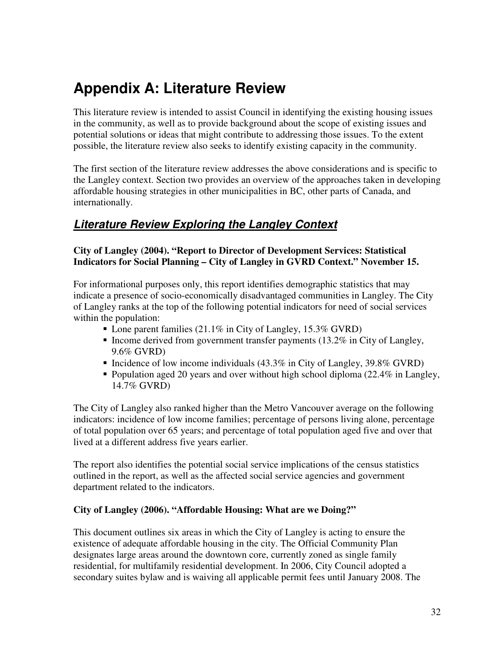# **Appendix A: Literature Review**

This literature review is intended to assist Council in identifying the existing housing issues in the community, as well as to provide background about the scope of existing issues and potential solutions or ideas that might contribute to addressing those issues. To the extent possible, the literature review also seeks to identify existing capacity in the community.

The first section of the literature review addresses the above considerations and is specific to the Langley context. Section two provides an overview of the approaches taken in developing affordable housing strategies in other municipalities in BC, other parts of Canada, and internationally.

# **Literature Review Exploring the Langley Context**

#### **City of Langley (2004). "Report to Director of Development Services: Statistical Indicators for Social Planning – City of Langley in GVRD Context." November 15.**

For informational purposes only, this report identifies demographic statistics that may indicate a presence of socio-economically disadvantaged communities in Langley. The City of Langley ranks at the top of the following potential indicators for need of social services within the population:

- Lone parent families (21.1% in City of Langley, 15.3% GVRD)
- Income derived from government transfer payments  $(13.2\%$  in City of Langley, 9.6% GVRD)
- Incidence of low income individuals  $(43.3\%$  in City of Langley,  $39.8\%$  GVRD)
- Population aged 20 years and over without high school diploma  $(22.4\%$  in Langley, 14.7% GVRD)

The City of Langley also ranked higher than the Metro Vancouver average on the following indicators: incidence of low income families; percentage of persons living alone, percentage of total population over 65 years; and percentage of total population aged five and over that lived at a different address five years earlier.

The report also identifies the potential social service implications of the census statistics outlined in the report, as well as the affected social service agencies and government department related to the indicators.

## **City of Langley (2006). "Affordable Housing: What are we Doing?"**

This document outlines six areas in which the City of Langley is acting to ensure the existence of adequate affordable housing in the city. The Official Community Plan designates large areas around the downtown core, currently zoned as single family residential, for multifamily residential development. In 2006, City Council adopted a secondary suites bylaw and is waiving all applicable permit fees until January 2008. The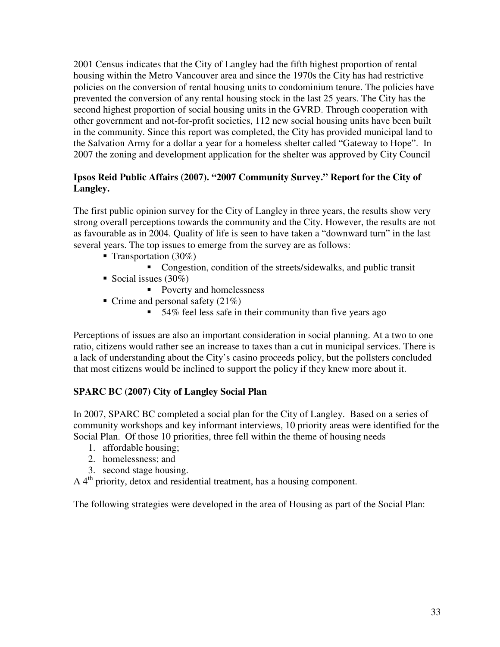2001 Census indicates that the City of Langley had the fifth highest proportion of rental housing within the Metro Vancouver area and since the 1970s the City has had restrictive policies on the conversion of rental housing units to condominium tenure. The policies have prevented the conversion of any rental housing stock in the last 25 years. The City has the second highest proportion of social housing units in the GVRD. Through cooperation with other government and not-for-profit societies, 112 new social housing units have been built in the community. Since this report was completed, the City has provided municipal land to the Salvation Army for a dollar a year for a homeless shelter called "Gateway to Hope". In 2007 the zoning and development application for the shelter was approved by City Council

### **Ipsos Reid Public Affairs (2007). "2007 Community Survey." Report for the City of Langley.**

The first public opinion survey for the City of Langley in three years, the results show very strong overall perceptions towards the community and the City. However, the results are not as favourable as in 2004. Quality of life is seen to have taken a "downward turn" in the last several years. The top issues to emerge from the survey are as follows:

- **Transportation** (30%)
	- Congestion, condition of the streets/sidewalks, and public transit
- Social issues  $(30\%)$ 
	- Poverty and homelessness
- $\blacksquare$  Crime and personal safety (21%)
	- 54% feel less safe in their community than five years ago

Perceptions of issues are also an important consideration in social planning. At a two to one ratio, citizens would rather see an increase to taxes than a cut in municipal services. There is a lack of understanding about the City's casino proceeds policy, but the pollsters concluded that most citizens would be inclined to support the policy if they knew more about it.

## **SPARC BC (2007) City of Langley Social Plan**

In 2007, SPARC BC completed a social plan for the City of Langley. Based on a series of community workshops and key informant interviews, 10 priority areas were identified for the Social Plan. Of those 10 priorities, three fell within the theme of housing needs

- 1. affordable housing;
- 2. homelessness; and
- 3. second stage housing.

 $A$  4<sup>th</sup> priority, detox and residential treatment, has a housing component.

The following strategies were developed in the area of Housing as part of the Social Plan: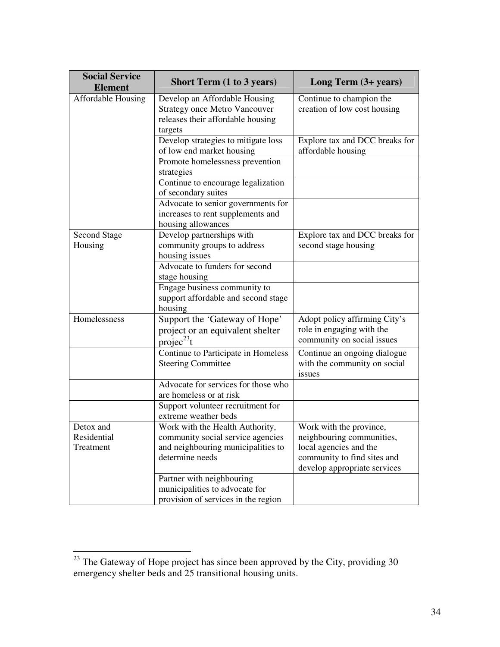| <b>Social Service</b><br><b>Element</b> | <b>Short Term (1 to 3 years)</b>                                                                                              | Long Term (3+ years)                                                                                                                          |
|-----------------------------------------|-------------------------------------------------------------------------------------------------------------------------------|-----------------------------------------------------------------------------------------------------------------------------------------------|
| Affordable Housing                      | Develop an Affordable Housing<br><b>Strategy once Metro Vancouver</b><br>releases their affordable housing<br>targets         | Continue to champion the<br>creation of low cost housing                                                                                      |
|                                         | Develop strategies to mitigate loss<br>of low end market housing                                                              | Explore tax and DCC breaks for<br>affordable housing                                                                                          |
|                                         | Promote homelessness prevention<br>strategies                                                                                 |                                                                                                                                               |
|                                         | Continue to encourage legalization<br>of secondary suites                                                                     |                                                                                                                                               |
|                                         | Advocate to senior governments for<br>increases to rent supplements and<br>housing allowances                                 |                                                                                                                                               |
| <b>Second Stage</b><br>Housing          | Develop partnerships with<br>community groups to address<br>housing issues                                                    | Explore tax and DCC breaks for<br>second stage housing                                                                                        |
|                                         | Advocate to funders for second<br>stage housing                                                                               |                                                                                                                                               |
|                                         | Engage business community to<br>support affordable and second stage<br>housing                                                |                                                                                                                                               |
| Homelessness                            | Support the 'Gateway of Hope'<br>project or an equivalent shelter<br>projec <sup>23</sup> t                                   | Adopt policy affirming City's<br>role in engaging with the<br>community on social issues                                                      |
|                                         | Continue to Participate in Homeless<br><b>Steering Committee</b>                                                              | Continue an ongoing dialogue<br>with the community on social<br>issues                                                                        |
|                                         | Advocate for services for those who<br>are homeless or at risk                                                                |                                                                                                                                               |
|                                         | Support volunteer recruitment for<br>extreme weather beds                                                                     |                                                                                                                                               |
| Detox and<br>Residential<br>Treatment   | Work with the Health Authority,<br>community social service agencies<br>and neighbouring municipalities to<br>determine needs | Work with the province,<br>neighbouring communities,<br>local agencies and the<br>community to find sites and<br>develop appropriate services |
|                                         | Partner with neighbouring<br>municipalities to advocate for<br>provision of services in the region                            |                                                                                                                                               |

 $\overline{a}$ 

 $23$  The Gateway of Hope project has since been approved by the City, providing 30 emergency shelter beds and 25 transitional housing units.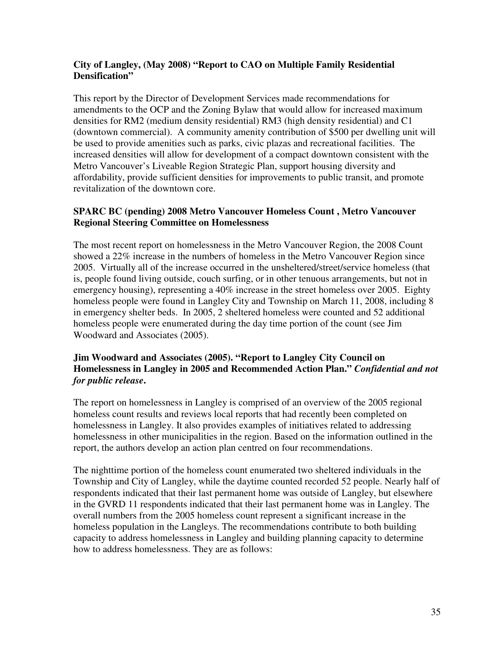#### **City of Langley, (May 2008) "Report to CAO on Multiple Family Residential Densification"**

This report by the Director of Development Services made recommendations for amendments to the OCP and the Zoning Bylaw that would allow for increased maximum densities for RM2 (medium density residential) RM3 (high density residential) and C1 (downtown commercial). A community amenity contribution of \$500 per dwelling unit will be used to provide amenities such as parks, civic plazas and recreational facilities. The increased densities will allow for development of a compact downtown consistent with the Metro Vancouver's Liveable Region Strategic Plan, support housing diversity and affordability, provide sufficient densities for improvements to public transit, and promote revitalization of the downtown core.

#### **SPARC BC (pending) 2008 Metro Vancouver Homeless Count , Metro Vancouver Regional Steering Committee on Homelessness**

The most recent report on homelessness in the Metro Vancouver Region, the 2008 Count showed a 22% increase in the numbers of homeless in the Metro Vancouver Region since 2005. Virtually all of the increase occurred in the unsheltered/street/service homeless (that is, people found living outside, couch surfing, or in other tenuous arrangements, but not in emergency housing), representing a 40% increase in the street homeless over 2005. Eighty homeless people were found in Langley City and Township on March 11, 2008, including 8 in emergency shelter beds. In 2005, 2 sheltered homeless were counted and 52 additional homeless people were enumerated during the day time portion of the count (see Jim Woodward and Associates (2005).

#### **Jim Woodward and Associates (2005). "Report to Langley City Council on Homelessness in Langley in 2005 and Recommended Action Plan."** *Confidential and not for public release***.**

The report on homelessness in Langley is comprised of an overview of the 2005 regional homeless count results and reviews local reports that had recently been completed on homelessness in Langley. It also provides examples of initiatives related to addressing homelessness in other municipalities in the region. Based on the information outlined in the report, the authors develop an action plan centred on four recommendations.

The nighttime portion of the homeless count enumerated two sheltered individuals in the Township and City of Langley, while the daytime counted recorded 52 people. Nearly half of respondents indicated that their last permanent home was outside of Langley, but elsewhere in the GVRD 11 respondents indicated that their last permanent home was in Langley. The overall numbers from the 2005 homeless count represent a significant increase in the homeless population in the Langleys. The recommendations contribute to both building capacity to address homelessness in Langley and building planning capacity to determine how to address homelessness. They are as follows: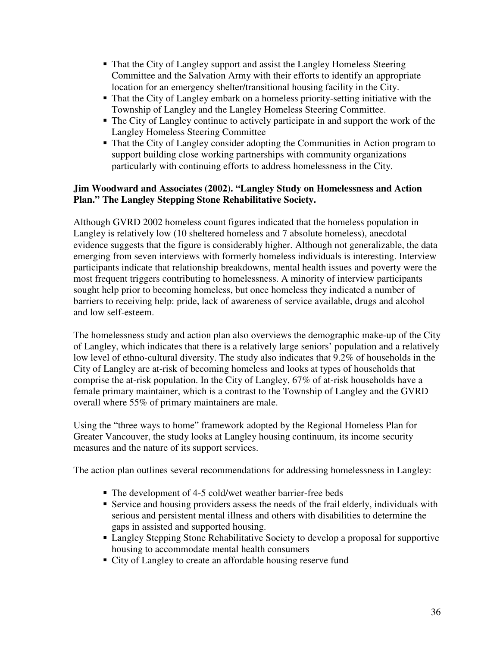- That the City of Langley support and assist the Langley Homeless Steering Committee and the Salvation Army with their efforts to identify an appropriate location for an emergency shelter/transitional housing facility in the City.
- That the City of Langley embark on a homeless priority-setting initiative with the Township of Langley and the Langley Homeless Steering Committee.
- The City of Langley continue to actively participate in and support the work of the Langley Homeless Steering Committee
- That the City of Langley consider adopting the Communities in Action program to support building close working partnerships with community organizations particularly with continuing efforts to address homelessness in the City.

### **Jim Woodward and Associates (2002). "Langley Study on Homelessness and Action Plan." The Langley Stepping Stone Rehabilitative Society.**

Although GVRD 2002 homeless count figures indicated that the homeless population in Langley is relatively low (10 sheltered homeless and 7 absolute homeless), anecdotal evidence suggests that the figure is considerably higher. Although not generalizable, the data emerging from seven interviews with formerly homeless individuals is interesting. Interview participants indicate that relationship breakdowns, mental health issues and poverty were the most frequent triggers contributing to homelessness. A minority of interview participants sought help prior to becoming homeless, but once homeless they indicated a number of barriers to receiving help: pride, lack of awareness of service available, drugs and alcohol and low self-esteem.

The homelessness study and action plan also overviews the demographic make-up of the City of Langley, which indicates that there is a relatively large seniors' population and a relatively low level of ethno-cultural diversity. The study also indicates that 9.2% of households in the City of Langley are at-risk of becoming homeless and looks at types of households that comprise the at-risk population. In the City of Langley, 67% of at-risk households have a female primary maintainer, which is a contrast to the Township of Langley and the GVRD overall where 55% of primary maintainers are male.

Using the "three ways to home" framework adopted by the Regional Homeless Plan for Greater Vancouver, the study looks at Langley housing continuum, its income security measures and the nature of its support services.

The action plan outlines several recommendations for addressing homelessness in Langley:

- The development of 4-5 cold/wet weather barrier-free beds
- Service and housing providers assess the needs of the frail elderly, individuals with serious and persistent mental illness and others with disabilities to determine the gaps in assisted and supported housing.
- Langley Stepping Stone Rehabilitative Society to develop a proposal for supportive housing to accommodate mental health consumers
- City of Langley to create an affordable housing reserve fund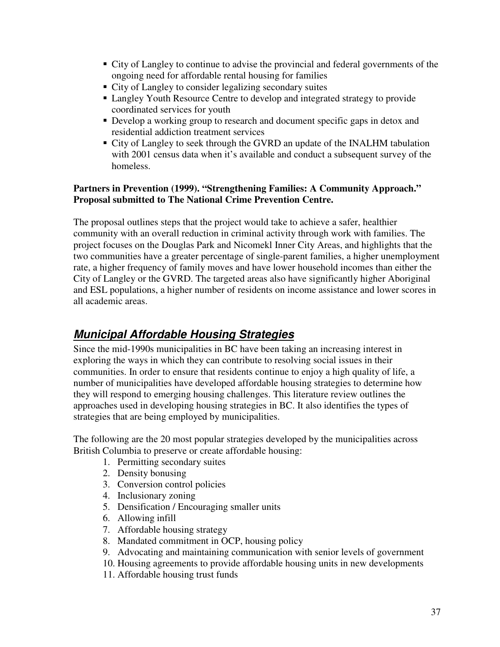- City of Langley to continue to advise the provincial and federal governments of the ongoing need for affordable rental housing for families
- City of Langley to consider legalizing secondary suites
- Langley Youth Resource Centre to develop and integrated strategy to provide coordinated services for youth
- Develop a working group to research and document specific gaps in detox and residential addiction treatment services
- City of Langley to seek through the GVRD an update of the INALHM tabulation with 2001 census data when it's available and conduct a subsequent survey of the homeless.

#### **Partners in Prevention (1999). "Strengthening Families: A Community Approach." Proposal submitted to The National Crime Prevention Centre.**

The proposal outlines steps that the project would take to achieve a safer, healthier community with an overall reduction in criminal activity through work with families. The project focuses on the Douglas Park and Nicomekl Inner City Areas, and highlights that the two communities have a greater percentage of single-parent families, a higher unemployment rate, a higher frequency of family moves and have lower household incomes than either the City of Langley or the GVRD. The targeted areas also have significantly higher Aboriginal and ESL populations, a higher number of residents on income assistance and lower scores in all academic areas.

# **Municipal Affordable Housing Strategies**

Since the mid-1990s municipalities in BC have been taking an increasing interest in exploring the ways in which they can contribute to resolving social issues in their communities. In order to ensure that residents continue to enjoy a high quality of life, a number of municipalities have developed affordable housing strategies to determine how they will respond to emerging housing challenges. This literature review outlines the approaches used in developing housing strategies in BC. It also identifies the types of strategies that are being employed by municipalities.

The following are the 20 most popular strategies developed by the municipalities across British Columbia to preserve or create affordable housing:

- 1. Permitting secondary suites
- 2. Density bonusing
- 3. Conversion control policies
- 4. Inclusionary zoning
- 5. Densification / Encouraging smaller units
- 6. Allowing infill
- 7. Affordable housing strategy
- 8. Mandated commitment in OCP, housing policy
- 9. Advocating and maintaining communication with senior levels of government
- 10. Housing agreements to provide affordable housing units in new developments
- 11. Affordable housing trust funds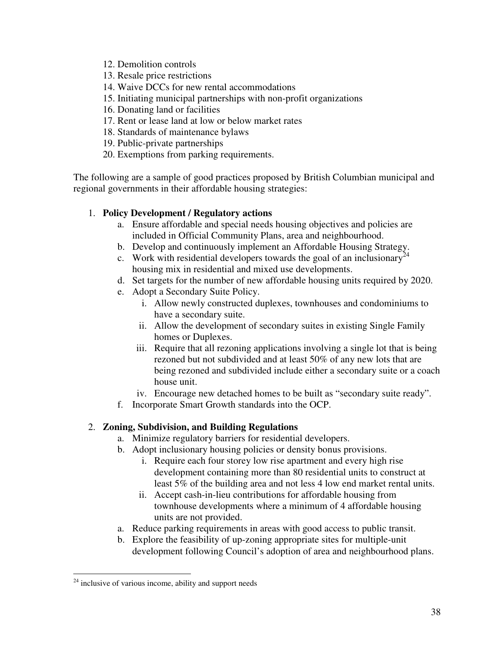- 12. Demolition controls
- 13. Resale price restrictions
- 14. Waive DCCs for new rental accommodations
- 15. Initiating municipal partnerships with non-profit organizations
- 16. Donating land or facilities
- 17. Rent or lease land at low or below market rates
- 18. Standards of maintenance bylaws
- 19. Public-private partnerships
- 20. Exemptions from parking requirements.

The following are a sample of good practices proposed by British Columbian municipal and regional governments in their affordable housing strategies:

#### 1. **Policy Development / Regulatory actions**

- a. Ensure affordable and special needs housing objectives and policies are included in Official Community Plans, area and neighbourhood.
- b. Develop and continuously implement an Affordable Housing Strategy.
- c. Work with residential developers towards the goal of an inclusionary<sup>24</sup> housing mix in residential and mixed use developments.
- d. Set targets for the number of new affordable housing units required by 2020.
- e. Adopt a Secondary Suite Policy.
	- i. Allow newly constructed duplexes, townhouses and condominiums to have a secondary suite.
	- ii. Allow the development of secondary suites in existing Single Family homes or Duplexes.
	- iii. Require that all rezoning applications involving a single lot that is being rezoned but not subdivided and at least 50% of any new lots that are being rezoned and subdivided include either a secondary suite or a coach house unit.
	- iv. Encourage new detached homes to be built as "secondary suite ready".
- f. Incorporate Smart Growth standards into the OCP.

#### 2. **Zoning, Subdivision, and Building Regulations**

- a. Minimize regulatory barriers for residential developers.
- b. Adopt inclusionary housing policies or density bonus provisions.
	- i. Require each four storey low rise apartment and every high rise development containing more than 80 residential units to construct at least 5% of the building area and not less 4 low end market rental units.
	- ii. Accept cash-in-lieu contributions for affordable housing from townhouse developments where a minimum of 4 affordable housing units are not provided.
- a. Reduce parking requirements in areas with good access to public transit.
- b. Explore the feasibility of up-zoning appropriate sites for multiple-unit development following Council's adoption of area and neighbourhood plans.

 $\overline{a}$ 

 $24$  inclusive of various income, ability and support needs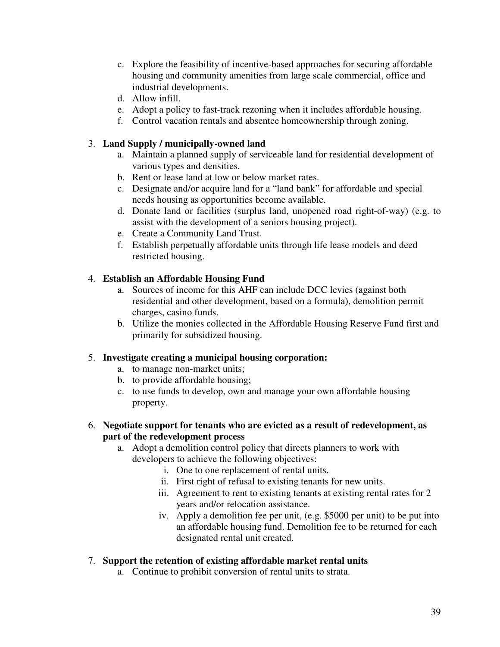- c. Explore the feasibility of incentive-based approaches for securing affordable housing and community amenities from large scale commercial, office and industrial developments.
- d. Allow infill.
- e. Adopt a policy to fast-track rezoning when it includes affordable housing.
- f. Control vacation rentals and absentee homeownership through zoning.

#### 3. **Land Supply / municipally-owned land**

- a. Maintain a planned supply of serviceable land for residential development of various types and densities.
- b. Rent or lease land at low or below market rates.
- c. Designate and/or acquire land for a "land bank" for affordable and special needs housing as opportunities become available.
- d. Donate land or facilities (surplus land, unopened road right-of-way) (e.g. to assist with the development of a seniors housing project).
- e. Create a Community Land Trust.
- f. Establish perpetually affordable units through life lease models and deed restricted housing.

#### 4. **Establish an Affordable Housing Fund**

- a. Sources of income for this AHF can include DCC levies (against both residential and other development, based on a formula), demolition permit charges, casino funds.
- b. Utilize the monies collected in the Affordable Housing Reserve Fund first and primarily for subsidized housing.

#### 5. **Investigate creating a municipal housing corporation:**

- a. to manage non-market units;
- b. to provide affordable housing;
- c. to use funds to develop, own and manage your own affordable housing property.
- 6. **Negotiate support for tenants who are evicted as a result of redevelopment, as part of the redevelopment process** 
	- a. Adopt a demolition control policy that directs planners to work with developers to achieve the following objectives:
		- i. One to one replacement of rental units.
		- ii. First right of refusal to existing tenants for new units.
		- iii. Agreement to rent to existing tenants at existing rental rates for 2 years and/or relocation assistance.
		- iv. Apply a demolition fee per unit, (e.g. \$5000 per unit) to be put into an affordable housing fund. Demolition fee to be returned for each designated rental unit created.

#### 7. **Support the retention of existing affordable market rental units**

a. Continue to prohibit conversion of rental units to strata.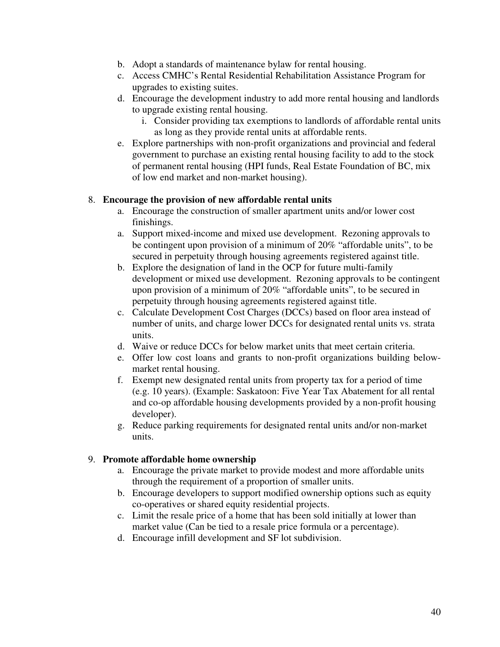- b. Adopt a standards of maintenance bylaw for rental housing.
- c. Access CMHC's Rental Residential Rehabilitation Assistance Program for upgrades to existing suites.
- d. Encourage the development industry to add more rental housing and landlords to upgrade existing rental housing.
	- i. Consider providing tax exemptions to landlords of affordable rental units as long as they provide rental units at affordable rents.
- e. Explore partnerships with non-profit organizations and provincial and federal government to purchase an existing rental housing facility to add to the stock of permanent rental housing (HPI funds, Real Estate Foundation of BC, mix of low end market and non-market housing).

#### 8. **Encourage the provision of new affordable rental units**

- a. Encourage the construction of smaller apartment units and/or lower cost finishings.
- a. Support mixed-income and mixed use development. Rezoning approvals to be contingent upon provision of a minimum of 20% "affordable units", to be secured in perpetuity through housing agreements registered against title.
- b. Explore the designation of land in the OCP for future multi-family development or mixed use development. Rezoning approvals to be contingent upon provision of a minimum of 20% "affordable units", to be secured in perpetuity through housing agreements registered against title.
- c. Calculate Development Cost Charges (DCCs) based on floor area instead of number of units, and charge lower DCCs for designated rental units vs. strata units.
- d. Waive or reduce DCCs for below market units that meet certain criteria.
- e. Offer low cost loans and grants to non-profit organizations building belowmarket rental housing.
- f. Exempt new designated rental units from property tax for a period of time (e.g. 10 years). (Example: Saskatoon: Five Year Tax Abatement for all rental and co-op affordable housing developments provided by a non-profit housing developer).
- g. Reduce parking requirements for designated rental units and/or non-market units.

#### 9. **Promote affordable home ownership**

- a. Encourage the private market to provide modest and more affordable units through the requirement of a proportion of smaller units.
- b. Encourage developers to support modified ownership options such as equity co-operatives or shared equity residential projects.
- c. Limit the resale price of a home that has been sold initially at lower than market value (Can be tied to a resale price formula or a percentage).
- d. Encourage infill development and SF lot subdivision.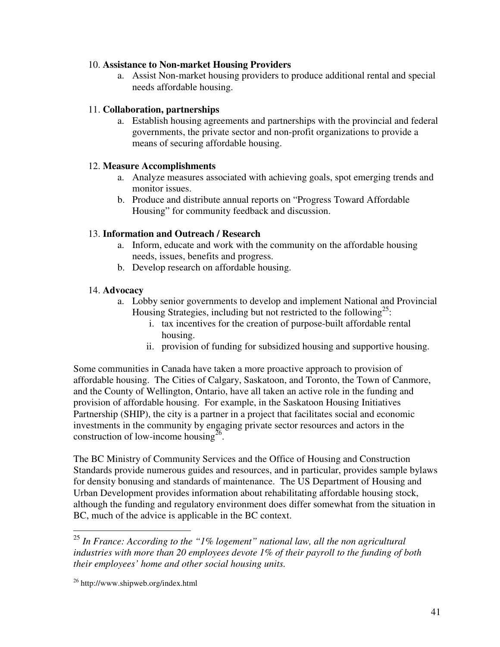#### 10. **Assistance to Non-market Housing Providers**

a. Assist Non-market housing providers to produce additional rental and special needs affordable housing.

#### 11. **Collaboration, partnerships**

a. Establish housing agreements and partnerships with the provincial and federal governments, the private sector and non-profit organizations to provide a means of securing affordable housing.

#### 12. **Measure Accomplishments**

- a. Analyze measures associated with achieving goals, spot emerging trends and monitor issues.
- b. Produce and distribute annual reports on "Progress Toward Affordable Housing" for community feedback and discussion.

#### 13. **Information and Outreach / Research**

- a. Inform, educate and work with the community on the affordable housing needs, issues, benefits and progress.
- b. Develop research on affordable housing.

#### 14. **Advocacy**

- a. Lobby senior governments to develop and implement National and Provincial Housing Strategies, including but not restricted to the following<sup>25</sup>:
	- i. tax incentives for the creation of purpose-built affordable rental housing.
	- ii. provision of funding for subsidized housing and supportive housing.

Some communities in Canada have taken a more proactive approach to provision of affordable housing. The Cities of Calgary, Saskatoon, and Toronto, the Town of Canmore, and the County of Wellington, Ontario, have all taken an active role in the funding and provision of affordable housing. For example, in the Saskatoon Housing Initiatives Partnership (SHIP), the city is a partner in a project that facilitates social and economic investments in the community by engaging private sector resources and actors in the construction of low-income housing<sup>26</sup>.

The BC Ministry of Community Services and the Office of Housing and Construction Standards provide numerous guides and resources, and in particular, provides sample bylaws for density bonusing and standards of maintenance. The US Department of Housing and Urban Development provides information about rehabilitating affordable housing stock, although the funding and regulatory environment does differ somewhat from the situation in BC, much of the advice is applicable in the BC context.

 $\overline{a}$ 

<sup>25</sup> *In France: According to the "1% logement" national law, all the non agricultural industries with more than 20 employees devote 1% of their payroll to the funding of both their employees' home and other social housing units.* 

<sup>&</sup>lt;sup>26</sup> http://www.shipweb.org/index.html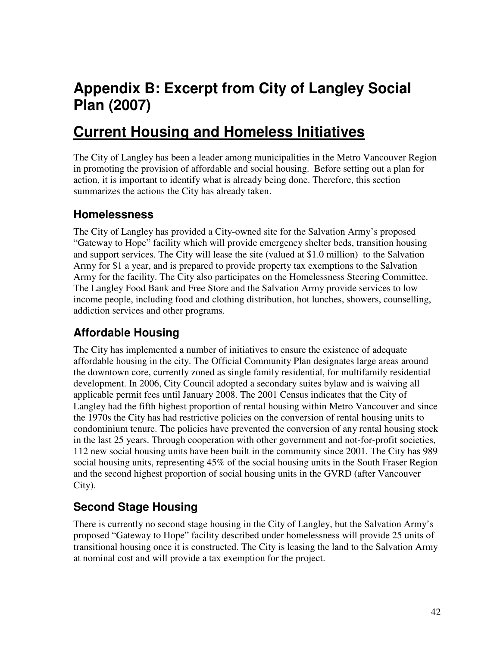# **Appendix B: Excerpt from City of Langley Social Plan (2007)**

# **Current Housing and Homeless Initiatives**

The City of Langley has been a leader among municipalities in the Metro Vancouver Region in promoting the provision of affordable and social housing. Before setting out a plan for action, it is important to identify what is already being done. Therefore, this section summarizes the actions the City has already taken.

# **Homelessness**

The City of Langley has provided a City-owned site for the Salvation Army's proposed "Gateway to Hope" facility which will provide emergency shelter beds, transition housing and support services. The City will lease the site (valued at \$1.0 million) to the Salvation Army for \$1 a year, and is prepared to provide property tax exemptions to the Salvation Army for the facility. The City also participates on the Homelessness Steering Committee. The Langley Food Bank and Free Store and the Salvation Army provide services to low income people, including food and clothing distribution, hot lunches, showers, counselling, addiction services and other programs.

# **Affordable Housing**

The City has implemented a number of initiatives to ensure the existence of adequate affordable housing in the city. The Official Community Plan designates large areas around the downtown core, currently zoned as single family residential, for multifamily residential development. In 2006, City Council adopted a secondary suites bylaw and is waiving all applicable permit fees until January 2008. The 2001 Census indicates that the City of Langley had the fifth highest proportion of rental housing within Metro Vancouver and since the 1970s the City has had restrictive policies on the conversion of rental housing units to condominium tenure. The policies have prevented the conversion of any rental housing stock in the last 25 years. Through cooperation with other government and not-for-profit societies, 112 new social housing units have been built in the community since 2001. The City has 989 social housing units, representing 45% of the social housing units in the South Fraser Region and the second highest proportion of social housing units in the GVRD (after Vancouver City).

# **Second Stage Housing**

There is currently no second stage housing in the City of Langley, but the Salvation Army's proposed "Gateway to Hope" facility described under homelessness will provide 25 units of transitional housing once it is constructed. The City is leasing the land to the Salvation Army at nominal cost and will provide a tax exemption for the project.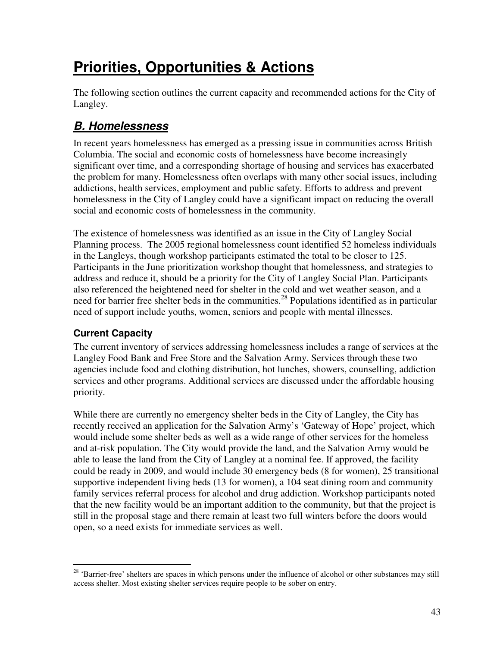# **Priorities, Opportunities & Actions**

The following section outlines the current capacity and recommended actions for the City of Langley.

# **B. Homelessness**

In recent years homelessness has emerged as a pressing issue in communities across British Columbia. The social and economic costs of homelessness have become increasingly significant over time, and a corresponding shortage of housing and services has exacerbated the problem for many. Homelessness often overlaps with many other social issues, including addictions, health services, employment and public safety. Efforts to address and prevent homelessness in the City of Langley could have a significant impact on reducing the overall social and economic costs of homelessness in the community.

The existence of homelessness was identified as an issue in the City of Langley Social Planning process. The 2005 regional homelessness count identified 52 homeless individuals in the Langleys, though workshop participants estimated the total to be closer to 125. Participants in the June prioritization workshop thought that homelessness, and strategies to address and reduce it, should be a priority for the City of Langley Social Plan. Participants also referenced the heightened need for shelter in the cold and wet weather season, and a need for barrier free shelter beds in the communities.<sup>28</sup> Populations identified as in particular need of support include youths, women, seniors and people with mental illnesses.

# **Current Capacity**

The current inventory of services addressing homelessness includes a range of services at the Langley Food Bank and Free Store and the Salvation Army. Services through these two agencies include food and clothing distribution, hot lunches, showers, counselling, addiction services and other programs. Additional services are discussed under the affordable housing priority.

While there are currently no emergency shelter beds in the City of Langley, the City has recently received an application for the Salvation Army's 'Gateway of Hope' project, which would include some shelter beds as well as a wide range of other services for the homeless and at-risk population. The City would provide the land, and the Salvation Army would be able to lease the land from the City of Langley at a nominal fee. If approved, the facility could be ready in 2009, and would include 30 emergency beds (8 for women), 25 transitional supportive independent living beds (13 for women), a 104 seat dining room and community family services referral process for alcohol and drug addiction. Workshop participants noted that the new facility would be an important addition to the community, but that the project is still in the proposal stage and there remain at least two full winters before the doors would open, so a need exists for immediate services as well.

 $\overline{a}$  $28$  'Barrier-free' shelters are spaces in which persons under the influence of alcohol or other substances may still access shelter. Most existing shelter services require people to be sober on entry.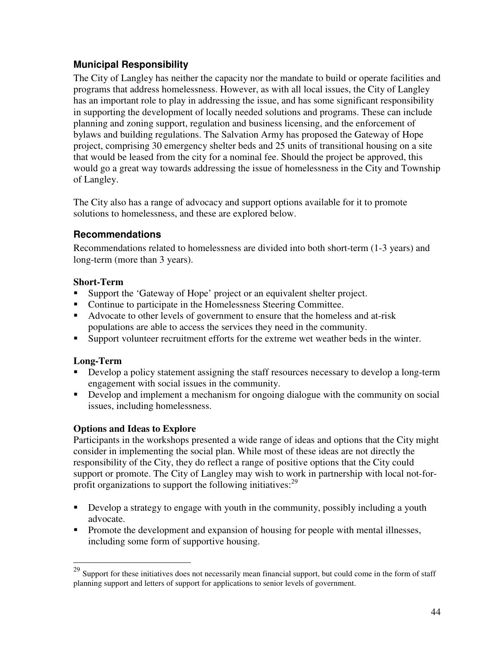# **Municipal Responsibility**

The City of Langley has neither the capacity nor the mandate to build or operate facilities and programs that address homelessness. However, as with all local issues, the City of Langley has an important role to play in addressing the issue, and has some significant responsibility in supporting the development of locally needed solutions and programs. These can include planning and zoning support, regulation and business licensing, and the enforcement of bylaws and building regulations. The Salvation Army has proposed the Gateway of Hope project, comprising 30 emergency shelter beds and 25 units of transitional housing on a site that would be leased from the city for a nominal fee. Should the project be approved, this would go a great way towards addressing the issue of homelessness in the City and Township of Langley.

The City also has a range of advocacy and support options available for it to promote solutions to homelessness, and these are explored below.

## **Recommendations**

Recommendations related to homelessness are divided into both short-term (1-3 years) and long-term (more than 3 years).

### **Short-Term**

- Support the 'Gateway of Hope' project or an equivalent shelter project.
- Continue to participate in the Homelessness Steering Committee.
- Advocate to other levels of government to ensure that the homeless and at-risk populations are able to access the services they need in the community.
- Support volunteer recruitment efforts for the extreme wet weather beds in the winter.

## **Long-Term**

 $\overline{a}$ 

- Develop a policy statement assigning the staff resources necessary to develop a long-term engagement with social issues in the community.
- Develop and implement a mechanism for ongoing dialogue with the community on social issues, including homelessness.

## **Options and Ideas to Explore**

Participants in the workshops presented a wide range of ideas and options that the City might consider in implementing the social plan. While most of these ideas are not directly the responsibility of the City, they do reflect a range of positive options that the City could support or promote. The City of Langley may wish to work in partnership with local not-forprofit organizations to support the following initiatives:  $29$ 

- Develop a strategy to engage with youth in the community, possibly including a youth advocate.
- **Promote the development and expansion of housing for people with mental illnesses,** including some form of supportive housing.

 $29$  Support for these initiatives does not necessarily mean financial support, but could come in the form of staff planning support and letters of support for applications to senior levels of government.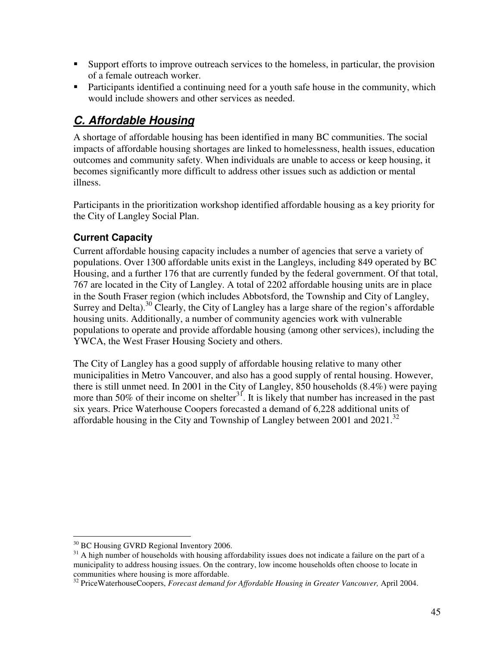- Support efforts to improve outreach services to the homeless, in particular, the provision of a female outreach worker.
- **Participants identified a continuing need for a youth safe house in the community, which** would include showers and other services as needed.

# **C. Affordable Housing**

A shortage of affordable housing has been identified in many BC communities. The social impacts of affordable housing shortages are linked to homelessness, health issues, education outcomes and community safety. When individuals are unable to access or keep housing, it becomes significantly more difficult to address other issues such as addiction or mental illness.

Participants in the prioritization workshop identified affordable housing as a key priority for the City of Langley Social Plan.

# **Current Capacity**

Current affordable housing capacity includes a number of agencies that serve a variety of populations. Over 1300 affordable units exist in the Langleys, including 849 operated by BC Housing, and a further 176 that are currently funded by the federal government. Of that total, 767 are located in the City of Langley. A total of 2202 affordable housing units are in place in the South Fraser region (which includes Abbotsford, the Township and City of Langley, Surrey and Delta).<sup>30</sup> Clearly, the City of Langley has a large share of the region's affordable housing units. Additionally, a number of community agencies work with vulnerable populations to operate and provide affordable housing (among other services), including the YWCA, the West Fraser Housing Society and others.

The City of Langley has a good supply of affordable housing relative to many other municipalities in Metro Vancouver, and also has a good supply of rental housing. However, there is still unmet need. In 2001 in the City of Langley, 850 households (8.4%) were paying more than 50% of their income on shelter<sup>31</sup>. It is likely that number has increased in the past six years. Price Waterhouse Coopers forecasted a demand of 6,228 additional units of affordable housing in the City and Township of Langley between 2001 and  $2021$ .<sup>32</sup>

 $\overline{a}$ <sup>30</sup> BC Housing GVRD Regional Inventory 2006.

<sup>&</sup>lt;sup>31</sup> A high number of households with housing affordability issues does not indicate a failure on the part of a municipality to address housing issues. On the contrary, low income households often choose to locate in communities where housing is more affordable.

<sup>&</sup>lt;sup>32</sup> PriceWaterhouseCoopers, *Forecast demand for Affordable Housing in Greater Vancouver*, April 2004.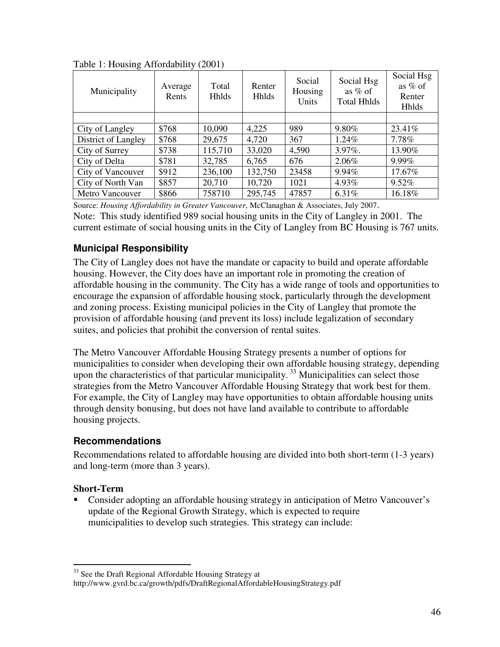| Municipality        | Average<br>Rents | Total<br><b>Hhlds</b> | Renter<br>Hhlds | Social<br>Housing<br>Units | Social Hsg<br>as $%$ of<br><b>Total Hhlds</b> | Social Hsg<br>as % of<br>Renter<br>Hhlds |
|---------------------|------------------|-----------------------|-----------------|----------------------------|-----------------------------------------------|------------------------------------------|
|                     |                  |                       |                 |                            |                                               |                                          |
| City of Langley     | \$768            | 10,090                | 4,225           | 989                        | 9.80%                                         | 23.41%                                   |
| District of Langley | \$768            | 29,675                | 4,720           | 367                        | $1.24\%$                                      | 7.78%                                    |
| City of Surrey      | \$738            | 115,710               | 33,020          | 4,590                      | $3.97\%$ .                                    | 13.90%                                   |
| City of Delta       | \$781            | 32,785                | 6,765           | 676                        | 2.06%                                         | 9.99%                                    |
| City of Vancouver   | \$912            | 236,100               | 132,750         | 23458                      | 9.94%                                         | 17.67%                                   |
| City of North Van   | \$857            | 20,710                | 10,720          | 1021                       | 4.93%                                         | $9.52\%$                                 |
| Metro Vancouver     | \$866            | 758710                | 295,745         | 47857                      | 6.31%                                         | 16.18%                                   |

Table 1: Housing Affordability (2001)

Source: *Housing Affordability in Greater Vancouver*, McClanaghan & Associates, July 2007. Note: This study identified 989 social housing units in the City of Langley in 2001. The current estimate of social housing units in the City of Langley from BC Housing is 767 units.

## **Municipal Responsibility**

The City of Langley does not have the mandate or capacity to build and operate affordable housing. However, the City does have an important role in promoting the creation of affordable housing in the community. The City has a wide range of tools and opportunities to encourage the expansion of affordable housing stock, particularly through the development and zoning process. Existing municipal policies in the City of Langley that promote the provision of affordable housing (and prevent its loss) include legalization of secondary suites, and policies that prohibit the conversion of rental suites.

The Metro Vancouver Affordable Housing Strategy presents a number of options for municipalities to consider when developing their own affordable housing strategy, depending upon the characteristics of that particular municipality.<sup>33</sup> Municipalities can select those strategies from the Metro Vancouver Affordable Housing Strategy that work best for them. For example, the City of Langley may have opportunities to obtain affordable housing units through density bonusing, but does not have land available to contribute to affordable housing projects.

## **Recommendations**

Recommendations related to affordable housing are divided into both short-term (1-3 years) and long-term (more than 3 years).

## **Short-Term**

 Consider adopting an affordable housing strategy in anticipation of Metro Vancouver's update of the Regional Growth Strategy, which is expected to require municipalities to develop such strategies. This strategy can include:

 $\overline{a}$ <sup>33</sup> See the Draft Regional Affordable Housing Strategy at

http://www.gvrd.bc.ca/growth/pdfs/DraftRegionalAffordableHousingStrategy.pdf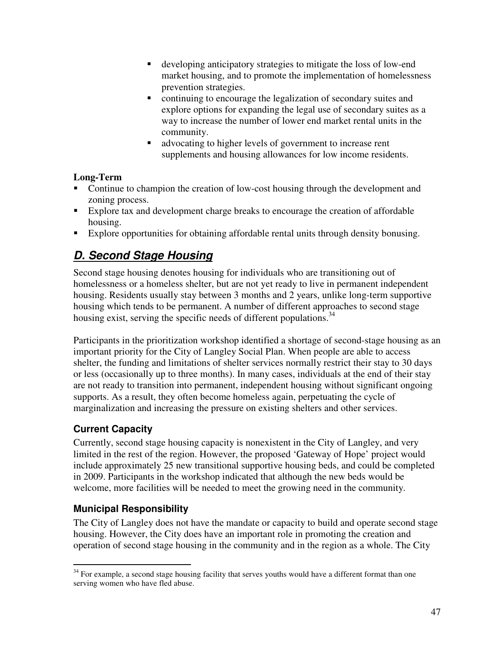- developing anticipatory strategies to mitigate the loss of low-end market housing, and to promote the implementation of homelessness prevention strategies.
- continuing to encourage the legalization of secondary suites and explore options for expanding the legal use of secondary suites as a way to increase the number of lower end market rental units in the community.
- advocating to higher levels of government to increase rent supplements and housing allowances for low income residents.

## **Long-Term**

- Continue to champion the creation of low-cost housing through the development and zoning process.
- Explore tax and development charge breaks to encourage the creation of affordable housing.
- Explore opportunities for obtaining affordable rental units through density bonusing.

# **D. Second Stage Housing**

Second stage housing denotes housing for individuals who are transitioning out of homelessness or a homeless shelter, but are not yet ready to live in permanent independent housing. Residents usually stay between 3 months and 2 years, unlike long-term supportive housing which tends to be permanent. A number of different approaches to second stage housing exist, serving the specific needs of different populations.<sup>34</sup>

Participants in the prioritization workshop identified a shortage of second-stage housing as an important priority for the City of Langley Social Plan. When people are able to access shelter, the funding and limitations of shelter services normally restrict their stay to 30 days or less (occasionally up to three months). In many cases, individuals at the end of their stay are not ready to transition into permanent, independent housing without significant ongoing supports. As a result, they often become homeless again, perpetuating the cycle of marginalization and increasing the pressure on existing shelters and other services.

# **Current Capacity**

Currently, second stage housing capacity is nonexistent in the City of Langley, and very limited in the rest of the region. However, the proposed 'Gateway of Hope' project would include approximately 25 new transitional supportive housing beds, and could be completed in 2009. Participants in the workshop indicated that although the new beds would be welcome, more facilities will be needed to meet the growing need in the community.

# **Municipal Responsibility**

The City of Langley does not have the mandate or capacity to build and operate second stage housing. However, the City does have an important role in promoting the creation and operation of second stage housing in the community and in the region as a whole. The City

 $\overline{a}$  $34$  For example, a second stage housing facility that serves youths would have a different format than one serving women who have fled abuse.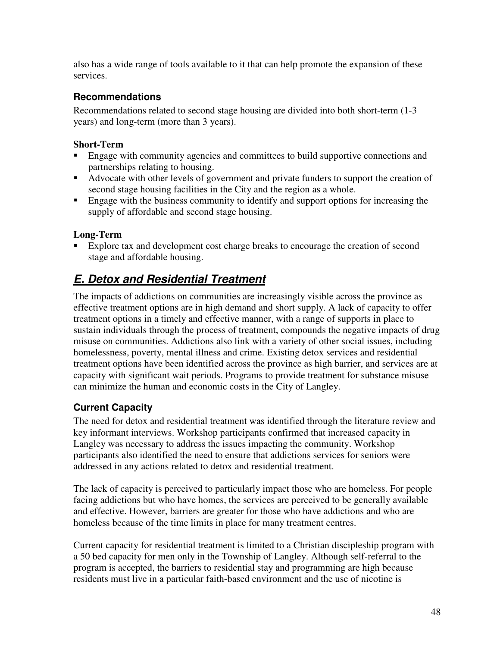also has a wide range of tools available to it that can help promote the expansion of these services.

## **Recommendations**

Recommendations related to second stage housing are divided into both short-term (1-3 years) and long-term (more than 3 years).

## **Short-Term**

- **Engage with community agencies and committees to build supportive connections and** partnerships relating to housing.
- Advocate with other levels of government and private funders to support the creation of second stage housing facilities in the City and the region as a whole.
- **Engage with the business community to identify and support options for increasing the** supply of affordable and second stage housing.

## **Long-Term**

 Explore tax and development cost charge breaks to encourage the creation of second stage and affordable housing.

# **E. Detox and Residential Treatment**

The impacts of addictions on communities are increasingly visible across the province as effective treatment options are in high demand and short supply. A lack of capacity to offer treatment options in a timely and effective manner, with a range of supports in place to sustain individuals through the process of treatment, compounds the negative impacts of drug misuse on communities. Addictions also link with a variety of other social issues, including homelessness, poverty, mental illness and crime. Existing detox services and residential treatment options have been identified across the province as high barrier, and services are at capacity with significant wait periods. Programs to provide treatment for substance misuse can minimize the human and economic costs in the City of Langley.

# **Current Capacity**

The need for detox and residential treatment was identified through the literature review and key informant interviews. Workshop participants confirmed that increased capacity in Langley was necessary to address the issues impacting the community. Workshop participants also identified the need to ensure that addictions services for seniors were addressed in any actions related to detox and residential treatment.

The lack of capacity is perceived to particularly impact those who are homeless. For people facing addictions but who have homes, the services are perceived to be generally available and effective. However, barriers are greater for those who have addictions and who are homeless because of the time limits in place for many treatment centres.

Current capacity for residential treatment is limited to a Christian discipleship program with a 50 bed capacity for men only in the Township of Langley. Although self-referral to the program is accepted, the barriers to residential stay and programming are high because residents must live in a particular faith-based environment and the use of nicotine is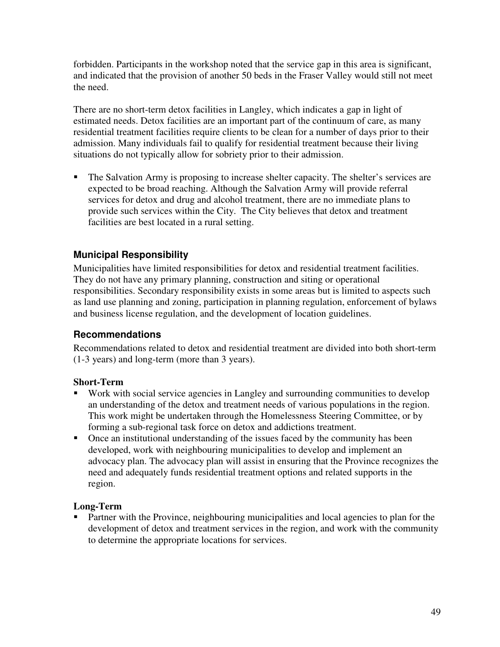forbidden. Participants in the workshop noted that the service gap in this area is significant, and indicated that the provision of another 50 beds in the Fraser Valley would still not meet the need.

There are no short-term detox facilities in Langley, which indicates a gap in light of estimated needs. Detox facilities are an important part of the continuum of care, as many residential treatment facilities require clients to be clean for a number of days prior to their admission. Many individuals fail to qualify for residential treatment because their living situations do not typically allow for sobriety prior to their admission.

• The Salvation Army is proposing to increase shelter capacity. The shelter's services are expected to be broad reaching. Although the Salvation Army will provide referral services for detox and drug and alcohol treatment, there are no immediate plans to provide such services within the City. The City believes that detox and treatment facilities are best located in a rural setting.

# **Municipal Responsibility**

Municipalities have limited responsibilities for detox and residential treatment facilities. They do not have any primary planning, construction and siting or operational responsibilities. Secondary responsibility exists in some areas but is limited to aspects such as land use planning and zoning, participation in planning regulation, enforcement of bylaws and business license regulation, and the development of location guidelines.

## **Recommendations**

Recommendations related to detox and residential treatment are divided into both short-term (1-3 years) and long-term (more than 3 years).

## **Short-Term**

- Work with social service agencies in Langley and surrounding communities to develop an understanding of the detox and treatment needs of various populations in the region. This work might be undertaken through the Homelessness Steering Committee, or by forming a sub-regional task force on detox and addictions treatment.
- Once an institutional understanding of the issues faced by the community has been developed, work with neighbouring municipalities to develop and implement an advocacy plan. The advocacy plan will assist in ensuring that the Province recognizes the need and adequately funds residential treatment options and related supports in the region.

## **Long-Term**

**Partner with the Province, neighbouring municipalities and local agencies to plan for the** development of detox and treatment services in the region, and work with the community to determine the appropriate locations for services.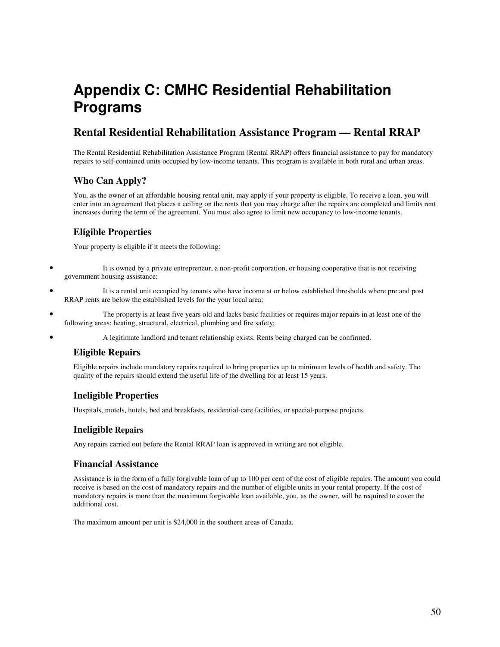# **Appendix C: CMHC Residential Rehabilitation Programs**

# **Rental Residential Rehabilitation Assistance Program — Rental RRAP**

The Rental Residential Rehabilitation Assistance Program (Rental RRAP) offers financial assistance to pay for mandatory repairs to self-contained units occupied by low-income tenants. This program is available in both rural and urban areas.

### **Who Can Apply?**

You, as the owner of an affordable housing rental unit, may apply if your property is eligible. To receive a loan, you will enter into an agreement that places a ceiling on the rents that you may charge after the repairs are completed and limits rent increases during the term of the agreement. You must also agree to limit new occupancy to low-income tenants.

### **Eligible Properties**

Your property is eligible if it meets the following:

- It is owned by a private entrepreneur, a non-profit corporation, or housing cooperative that is not receiving government housing assistance;
- It is a rental unit occupied by tenants who have income at or below established thresholds where pre and post RRAP rents are below the established levels for the your local area;
- The property is at least five years old and lacks basic facilities or requires major repairs in at least one of the following areas: heating, structural, electrical, plumbing and fire safety;
- A legitimate landlord and tenant relationship exists. Rents being charged can be confirmed.

#### **Eligible Repairs**

Eligible repairs include mandatory repairs required to bring properties up to minimum levels of health and safety. The quality of the repairs should extend the useful life of the dwelling for at least 15 years.

#### **Ineligible Properties**

Hospitals, motels, hotels, bed and breakfasts, residential-care facilities, or special-purpose projects.

#### **Ineligible Repairs**

Any repairs carried out before the Rental RRAP loan is approved in writing are not eligible.

#### **Financial Assistance**

Assistance is in the form of a fully forgivable loan of up to 100 per cent of the cost of eligible repairs. The amount you could receive is based on the cost of mandatory repairs and the number of eligible units in your rental property. If the cost of mandatory repairs is more than the maximum forgivable loan available, you, as the owner, will be required to cover the additional cost.

The maximum amount per unit is \$24,000 in the southern areas of Canada.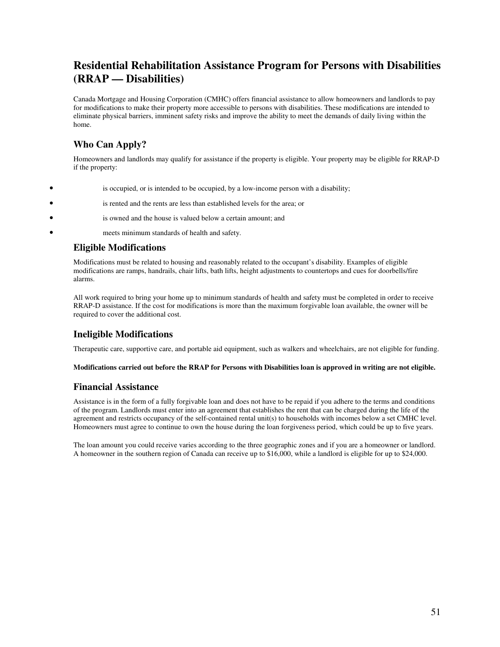# **Residential Rehabilitation Assistance Program for Persons with Disabilities (RRAP — Disabilities)**

Canada Mortgage and Housing Corporation (CMHC) offers financial assistance to allow homeowners and landlords to pay for modifications to make their property more accessible to persons with disabilities. These modifications are intended to eliminate physical barriers, imminent safety risks and improve the ability to meet the demands of daily living within the home.

## **Who Can Apply?**

Homeowners and landlords may qualify for assistance if the property is eligible. Your property may be eligible for RRAP-D if the property:

- is occupied, or is intended to be occupied, by a low-income person with a disability;
- is rented and the rents are less than established levels for the area; or
	- is owned and the house is valued below a certain amount; and
- meets minimum standards of health and safety.

#### **Eligible Modifications**

Modifications must be related to housing and reasonably related to the occupant's disability. Examples of eligible modifications are ramps, handrails, chair lifts, bath lifts, height adjustments to countertops and cues for doorbells/fire alarms.

All work required to bring your home up to minimum standards of health and safety must be completed in order to receive RRAP-D assistance. If the cost for modifications is more than the maximum forgivable loan available, the owner will be required to cover the additional cost.

#### **Ineligible Modifications**

Therapeutic care, supportive care, and portable aid equipment, such as walkers and wheelchairs, are not eligible for funding.

#### **Modifications carried out before the RRAP for Persons with Disabilities loan is approved in writing are not eligible.**

#### **Financial Assistance**

Assistance is in the form of a fully forgivable loan and does not have to be repaid if you adhere to the terms and conditions of the program. Landlords must enter into an agreement that establishes the rent that can be charged during the life of the agreement and restricts occupancy of the self-contained rental unit(s) to households with incomes below a set CMHC level. Homeowners must agree to continue to own the house during the loan forgiveness period, which could be up to five years.

The loan amount you could receive varies according to the three geographic zones and if you are a homeowner or landlord. A homeowner in the southern region of Canada can receive up to \$16,000, while a landlord is eligible for up to \$24,000.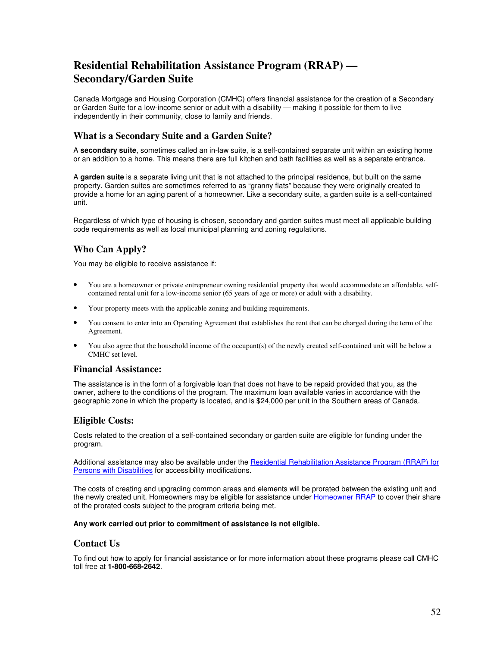# **Residential Rehabilitation Assistance Program (RRAP) — Secondary/Garden Suite**

Canada Mortgage and Housing Corporation (CMHC) offers financial assistance for the creation of a Secondary or Garden Suite for a low-income senior or adult with a disability — making it possible for them to live independently in their community, close to family and friends.

#### **What is a Secondary Suite and a Garden Suite?**

A **secondary suite**, sometimes called an in-law suite, is a self-contained separate unit within an existing home or an addition to a home. This means there are full kitchen and bath facilities as well as a separate entrance.

A **garden suite** is a separate living unit that is not attached to the principal residence, but built on the same property. Garden suites are sometimes referred to as "granny flats" because they were originally created to provide a home for an aging parent of a homeowner. Like a secondary suite, a garden suite is a self-contained unit.

Regardless of which type of housing is chosen, secondary and garden suites must meet all applicable building code requirements as well as local municipal planning and zoning regulations.

#### **Who Can Apply?**

You may be eligible to receive assistance if:

- You are a homeowner or private entrepreneur owning residential property that would accommodate an affordable, selfcontained rental unit for a low-income senior (65 years of age or more) or adult with a disability.
- Your property meets with the applicable zoning and building requirements.
- You consent to enter into an Operating Agreement that establishes the rent that can be charged during the term of the Agreement.
- You also agree that the household income of the occupant(s) of the newly created self-contained unit will be below a CMHC set level.

#### **Financial Assistance:**

The assistance is in the form of a forgivable loan that does not have to be repaid provided that you, as the owner, adhere to the conditions of the program. The maximum loan available varies in accordance with the geographic zone in which the property is located, and is \$24,000 per unit in the Southern areas of Canada.

#### **Eligible Costs:**

Costs related to the creation of a self-contained secondary or garden suite are eligible for funding under the program.

Additional assistance may also be available under the Residential Rehabilitation Assistance Program (RRAP) for Persons with Disabilities for accessibility modifications.

The costs of creating and upgrading common areas and elements will be prorated between the existing unit and the newly created unit. Homeowners may be eligible for assistance under Homeowner RRAP to cover their share of the prorated costs subject to the program criteria being met.

#### **Any work carried out prior to commitment of assistance is not eligible.**

#### **Contact Us**

To find out how to apply for financial assistance or for more information about these programs please call CMHC toll free at **1-800-668-2642**.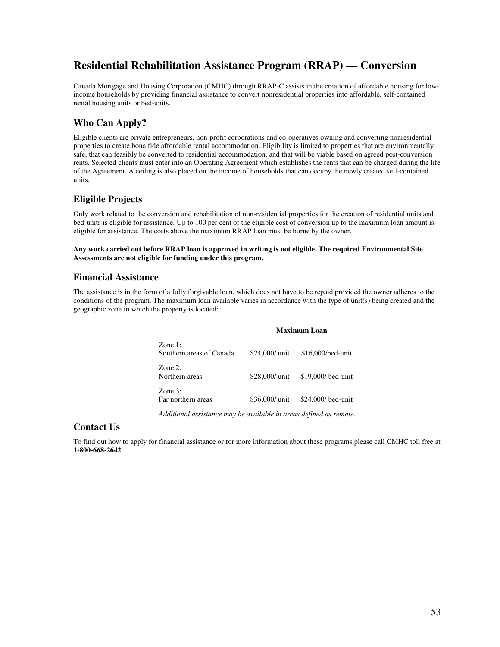# **Residential Rehabilitation Assistance Program (RRAP) — Conversion**

Canada Mortgage and Housing Corporation (CMHC) through RRAP-C assists in the creation of affordable housing for lowincome households by providing financial assistance to convert nonresidential properties into affordable, self-contained rental housing units or bed-units.

#### **Who Can Apply?**

Eligible clients are private entrepreneurs, non-profit corporations and co-operatives owning and converting nonresidential properties to create bona fide affordable rental accommodation. Eligibility is limited to properties that are environmentally safe, that can feasibly be converted to residential accommodation, and that will be viable based on agreed post-conversion rents. Selected clients must enter into an Operating Agreement which establishes the rents that can be charged during the life of the Agreement. A ceiling is also placed on the income of households that can occupy the newly created self-contained units.

#### **Eligible Projects**

Only work related to the conversion and rehabilitation of non-residential properties for the creation of residential units and bed-units is eligible for assistance. Up to 100 per cent of the eligible cost of conversion up to the maximum loan amount is eligible for assistance. The costs above the maximum RRAP loan must be borne by the owner.

**Any work carried out before RRAP loan is approved in writing is not eligible. The required Environmental Site Assessments are not eligible for funding under this program.**

#### **Financial Assistance**

The assistance is in the form of a fully forgivable loan, which does not have to be repaid provided the owner adheres to the conditions of the program. The maximum loan available varies in accordance with the type of unit(s) being created and the geographic zone in which the property is located:

#### **Maximum Loan**

| Zone $1$ :<br>Southern areas of Canada | \$24,000/ unit | \$16,000/bed-unit                 |
|----------------------------------------|----------------|-----------------------------------|
| Zone $2$ :<br>Northern areas           |                | \$28,000/ unit \$19,000/ bed-unit |
| Zone $3$ :<br>Far northern areas       | \$36,000/ unit | \$24,000/bed-unit                 |

*Additional assistance may be available in areas defined as remote.*

#### **Contact Us**

To find out how to apply for financial assistance or for more information about these programs please call CMHC toll free at **1-800-668-2642**.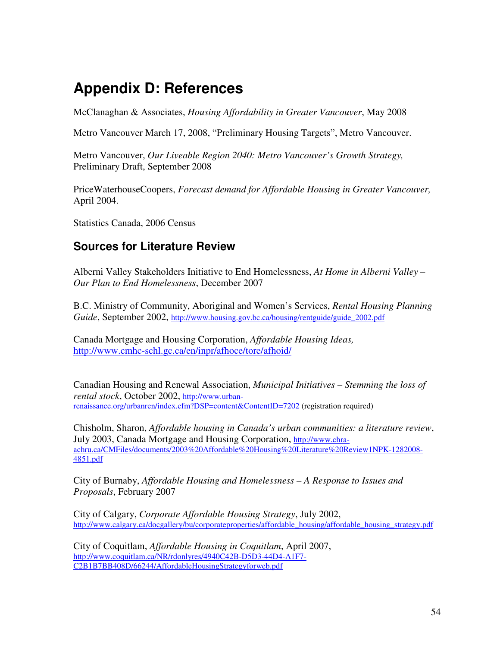# **Appendix D: References**

McClanaghan & Associates, *Housing Affordability in Greater Vancouver*, May 2008

Metro Vancouver March 17, 2008, "Preliminary Housing Targets", Metro Vancouver.

Metro Vancouver, *Our Liveable Region 2040: Metro Vancouver's Growth Strategy,*  Preliminary Draft, September 2008

PriceWaterhouseCoopers, *Forecast demand for Affordable Housing in Greater Vancouver,*  April 2004.

Statistics Canada, 2006 Census

# **Sources for Literature Review**

Alberni Valley Stakeholders Initiative to End Homelessness, *At Home in Alberni Valley – Our Plan to End Homelessness*, December 2007

B.C. Ministry of Community, Aboriginal and Women's Services, *Rental Housing Planning Guide*, September 2002, http://www.housing.gov.bc.ca/housing/rentguide/guide\_2002.pdf

Canada Mortgage and Housing Corporation, *Affordable Housing Ideas,* http://www.cmhc-schl.gc.ca/en/inpr/afhoce/tore/afhoid/

Canadian Housing and Renewal Association, *Municipal Initiatives – Stemming the loss of rental stock*, October 2002, http://www.urbanrenaissance.org/urbanren/index.cfm?DSP=content&ContentID=7202 (registration required)

Chisholm, Sharon, *Affordable housing in Canada's urban communities: a literature review*, July 2003, Canada Mortgage and Housing Corporation, http://www.chraachru.ca/CMFiles/documents/2003%20Affordable%20Housing%20Literature%20Review1NPK-1282008- 4851.pdf

City of Burnaby, *Affordable Housing and Homelessness – A Response to Issues and Proposals*, February 2007

City of Calgary, *Corporate Affordable Housing Strategy*, July 2002, http://www.calgary.ca/docgallery/bu/corporateproperties/affordable\_housing/affordable\_housing\_strategy.pdf

City of Coquitlam, *Affordable Housing in Coquitlam*, April 2007, http://www.coquitlam.ca/NR/rdonlyres/4940C42B-D5D3-44D4-A1F7- C2B1B7BB408D/66244/AffordableHousingStrategyforweb.pdf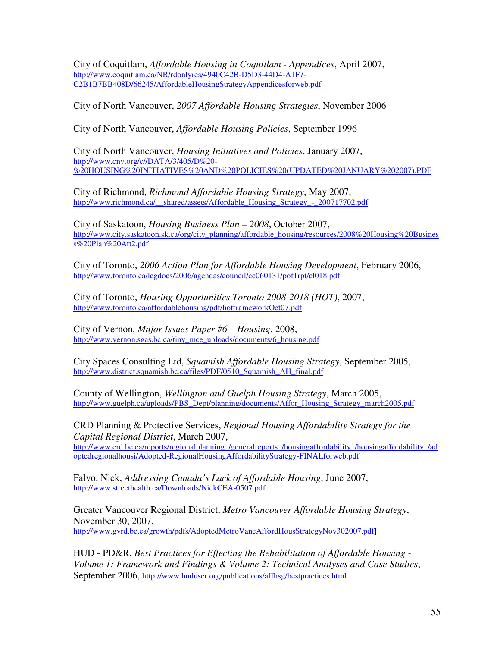City of Coquitlam, *Affordable Housing in Coquitlam - Appendices*, April 2007, http://www.coquitlam.ca/NR/rdonlyres/4940C42B-D5D3-44D4-A1F7- C2B1B7BB408D/66245/AffordableHousingStrategyAppendicesforweb.pdf

City of North Vancouver, *2007 Affordable Housing Strategies*, November 2006

City of North Vancouver, *Affordable Housing Policies*, September 1996

City of North Vancouver, *Housing Initiatives and Policies*, January 2007, http://www.cnv.org/c//DATA/3/405/D%20- %20HOUSING%20INITIATIVES%20AND%20POLICIES%20(UPDATED%20JANUARY%202007).PDF

City of Richmond, *Richmond Affordable Housing Strategy*, May 2007, http://www.richmond.ca/\_\_shared/assets/Affordable\_Housing\_Strategy\_-\_200717702.pdf

City of Saskatoon, *Housing Business Plan – 2008*, October 2007, http://www.city.saskatoon.sk.ca/org/city\_planning/affordable\_housing/resources/2008%20Housing%20Busines s%20Plan%20Att2.pdf

City of Toronto, *2006 Action Plan for Affordable Housing Development*, February 2006, http://www.toronto.ca/legdocs/2006/agendas/council/cc060131/pof1rpt/cl018.pdf

City of Toronto, *Housing Opportunities Toronto 2008-2018 (HOT)*, 2007, http://www.toronto.ca/affordablehousing/pdf/hotframeworkOct07.pdf

City of Vernon, *Major Issues Paper #6 – Housing*, 2008, http://www.vernon.sgas.bc.ca/tiny\_mce\_uploads/documents/6\_housing.pdf

City Spaces Consulting Ltd, *Squamish Affordable Housing Strategy*, September 2005, http://www.district.squamish.bc.ca/files/PDF/0510\_Squamish\_AH\_final.pdf

County of Wellington, *Wellington and Guelph Housing Strategy*, March 2005, http://www.guelph.ca/uploads/PBS\_Dept/planning/documents/Affor\_Housing\_Strategy\_march2005.pdf

CRD Planning & Protective Services, *Regional Housing Affordability Strategy for the Capital Regional District*, March 2007,

http://www.crd.bc.ca/reports/regionalplanning\_/generalreports\_/housingaffordability\_/housingaffordability\_/ad optedregionalhousi/Adopted-RegionalHousingAffordabilityStrategy-FINALforweb.pdf

Falvo, Nick, *Addressing Canada's Lack of Affordable Housing*, June 2007, http://www.streethealth.ca/Downloads/NickCEA-0507.pdf

Greater Vancouver Regional District, *Metro Vancouver Affordable Housing Strategy*, November 30, 2007, http://www.gvrd.bc.ca/growth/pdfs/AdoptedMetroVancAffordHousStrategyNov302007.pdf]

HUD - PD&R, *Best Practices for Effecting the Rehabilitation of Affordable Housing - Volume 1: Framework and Findings & Volume 2: Technical Analyses and Case Studies*, September 2006, http://www.huduser.org/publications/affhsg/bestpractices.html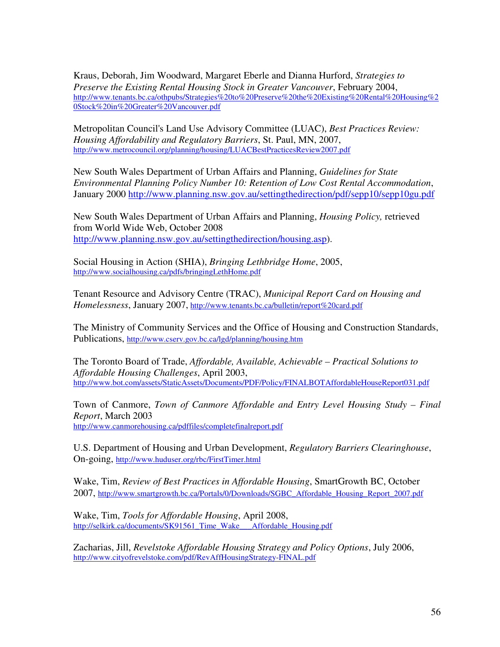Kraus, Deborah, Jim Woodward, Margaret Eberle and Dianna Hurford, *Strategies to Preserve the Existing Rental Housing Stock in Greater Vancouver*, February 2004, http://www.tenants.bc.ca/othpubs/Strategies%20to%20Preserve%20the%20Existing%20Rental%20Housing%2 0Stock%20in%20Greater%20Vancouver.pdf

Metropolitan Council's Land Use Advisory Committee (LUAC), *Best Practices Review: Housing Affordability and Regulatory Barriers*, St. Paul, MN, 2007, http://www.metrocouncil.org/planning/housing/LUACBestPracticesReview2007.pdf

New South Wales Department of Urban Affairs and Planning, *Guidelines for State Environmental Planning Policy Number 10: Retention of Low Cost Rental Accommodation*, January 2000 http://www.planning.nsw.gov.au/settingthedirection/pdf/sepp10/sepp10gu.pdf

New South Wales Department of Urban Affairs and Planning, *Housing Policy,* retrieved from World Wide Web, October 2008 http://www.planning.nsw.gov.au/settingthedirection/housing.asp).

Social Housing in Action (SHIA), *Bringing Lethbridge Home*, 2005, http://www.socialhousing.ca/pdfs/bringingLethHome.pdf

Tenant Resource and Advisory Centre (TRAC), *Municipal Report Card on Housing and Homelessness*, January 2007, http://www.tenants.bc.ca/bulletin/report%20card.pdf

The Ministry of Community Services and the Office of Housing and Construction Standards, Publications, http://www.cserv.gov.bc.ca/lgd/planning/housing.htm

The Toronto Board of Trade, *Affordable, Available, Achievable – Practical Solutions to Affordable Housing Challenges*, April 2003, http://www.bot.com/assets/StaticAssets/Documents/PDF/Policy/FINALBOTAffordableHouseReport031.pdf

Town of Canmore, *Town of Canmore Affordable and Entry Level Housing Study – Final Report*, March 2003 http://www.canmorehousing.ca/pdffiles/completefinalreport.pdf

U.S. Department of Housing and Urban Development, *Regulatory Barriers Clearinghouse*, On-going, http://www.huduser.org/rbc/FirstTimer.html

Wake, Tim, *Review of Best Practices in Affordable Housing*, SmartGrowth BC, October 2007, http://www.smartgrowth.bc.ca/Portals/0/Downloads/SGBC\_Affordable\_Housing\_Report\_2007.pdf

Wake, Tim, *Tools for Affordable Housing*, April 2008, http://selkirk.ca/documents/SK91561 Time\_Wake\_\_\_Affordable\_Housing.pdf

Zacharias, Jill, *Revelstoke Affordable Housing Strategy and Policy Options*, July 2006, http://www.cityofrevelstoke.com/pdf/RevAffHousingStrategy-FINAL.pdf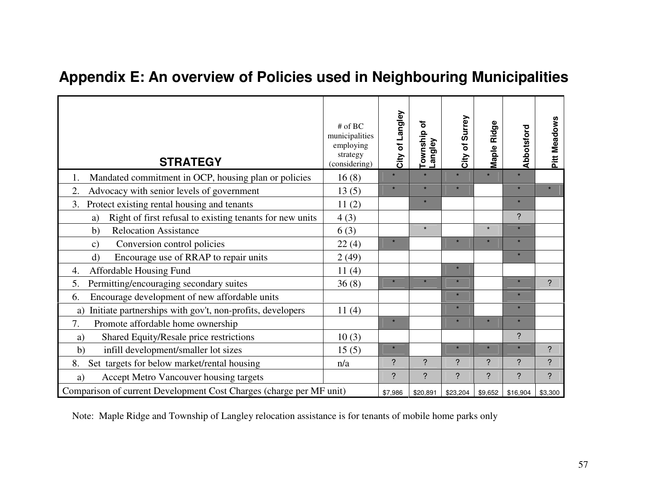# **Appendix E: An overview of Policies used in Neighbouring Municipalities**

| <b>STRATEGY</b>                                                     | $#$ of BC<br>municipalities<br>employing<br>strategy<br>(considering) | City of Langley | ৳<br>Township<br>Langley | City of Surrey | Maple Ridge                | Abbotsford     | Pitt Meadows |
|---------------------------------------------------------------------|-----------------------------------------------------------------------|-----------------|--------------------------|----------------|----------------------------|----------------|--------------|
| Mandated commitment in OCP, housing plan or policies<br>1.          | 16(8)                                                                 | $\star$         | $\star$                  |                | $\star$                    | $\star$        |              |
| Advocacy with senior levels of government<br>2.                     | 13(5)                                                                 | $\star$         | $\star$                  | $\star$        |                            | $\star$        | $\star$      |
| Protect existing rental housing and tenants<br>3.                   | 11(2)                                                                 |                 | $\star$                  |                |                            | $\star$        |              |
| Right of first refusal to existing tenants for new units<br>a)      | 4(3)                                                                  |                 |                          |                |                            | $\overline{?}$ |              |
| <b>Relocation Assistance</b><br>b)                                  | 6(3)                                                                  |                 | $\star$                  |                | $\star$                    | $\star$        |              |
| Conversion control policies<br>$\mathbf{c})$                        | 22(4)                                                                 | $\star$         |                          | $\star$        | $\star$                    | $\star$        |              |
| Encourage use of RRAP to repair units<br>$\mathbf{d}$               | 2(49)                                                                 |                 |                          |                |                            | $\star$        |              |
| Affordable Housing Fund<br>4.                                       | 11(4)                                                                 |                 |                          | $\star$        |                            |                |              |
| Permitting/encouraging secondary suites<br>5.                       | 36(8)                                                                 | $\star$         | $\star$                  | $\star$        |                            | $\star$        | ?            |
| Encourage development of new affordable units<br>6.                 |                                                                       |                 |                          | $\star$        |                            | $\star$        |              |
| Initiate partnerships with gov't, non-profits, developers<br>a)     | 11(4)                                                                 |                 |                          | $\star$        |                            | $\star$        |              |
| 7.<br>Promote affordable home ownership                             |                                                                       | $\star$         |                          | $\star$        | $\star$                    | $\star$        |              |
| Shared Equity/Resale price restrictions<br>a)                       | 10(3)                                                                 |                 |                          |                |                            | $\ddot{?}$     |              |
| infill development/smaller lot sizes<br>b)                          | 15(5)                                                                 | $\star$         |                          | $\star$        | $\star$                    |                | $\ddot{?}$   |
| Set targets for below market/rental housing<br>8.                   | n/a                                                                   | $\overline{?}$  | ?                        | ?              | $\boldsymbol{\mathcal{P}}$ | $\overline{?}$ | $\ddot{?}$   |
| Accept Metro Vancouver housing targets<br>a)                        |                                                                       | ?               | ?                        | ?              | ?                          | $\overline{?}$ | ?            |
| Comparison of current Development Cost Charges (charge per MF unit) |                                                                       | \$7,986         | \$20,891                 | \$23,204       | \$9,652                    | \$16,904       | \$3,300      |

Note: Maple Ridge and Township of Langley relocation assistance is for tenants of mobile home parks only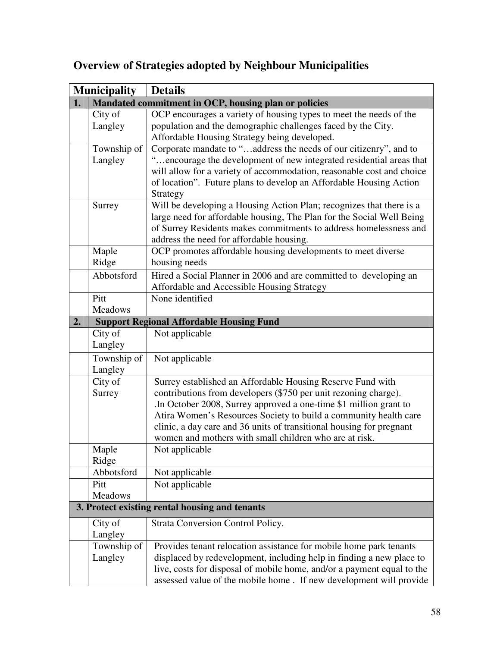|    | <b>Municipality</b>    | <b>Details</b>                                                                                                                                                                                                                                                                                                                                                                                          |
|----|------------------------|---------------------------------------------------------------------------------------------------------------------------------------------------------------------------------------------------------------------------------------------------------------------------------------------------------------------------------------------------------------------------------------------------------|
| 1. |                        | Mandated commitment in OCP, housing plan or policies                                                                                                                                                                                                                                                                                                                                                    |
|    | City of<br>Langley     | OCP encourages a variety of housing types to meet the needs of the<br>population and the demographic challenges faced by the City.<br>Affordable Housing Strategy being developed.                                                                                                                                                                                                                      |
|    | Township of<br>Langley | Corporate mandate to "address the needs of our citizenry", and to<br>"encourage the development of new integrated residential areas that<br>will allow for a variety of accommodation, reasonable cost and choice<br>of location". Future plans to develop an Affordable Housing Action<br>Strategy                                                                                                     |
|    | Surrey                 | Will be developing a Housing Action Plan; recognizes that there is a<br>large need for affordable housing, The Plan for the Social Well Being<br>of Surrey Residents makes commitments to address homelessness and<br>address the need for affordable housing.                                                                                                                                          |
|    | Maple<br>Ridge         | OCP promotes affordable housing developments to meet diverse<br>housing needs                                                                                                                                                                                                                                                                                                                           |
|    | Abbotsford             | Hired a Social Planner in 2006 and are committed to developing an<br>Affordable and Accessible Housing Strategy                                                                                                                                                                                                                                                                                         |
|    | Pitt<br>Meadows        | None identified                                                                                                                                                                                                                                                                                                                                                                                         |
| 2. |                        | <b>Support Regional Affordable Housing Fund</b>                                                                                                                                                                                                                                                                                                                                                         |
|    | City of<br>Langley     | Not applicable                                                                                                                                                                                                                                                                                                                                                                                          |
|    | Township of<br>Langley | Not applicable                                                                                                                                                                                                                                                                                                                                                                                          |
|    | City of<br>Surrey      | Surrey established an Affordable Housing Reserve Fund with<br>contributions from developers (\$750 per unit rezoning charge).<br>In October 2008, Surrey approved a one-time \$1 million grant to<br>Atira Women's Resources Society to build a community health care<br>clinic, a day care and 36 units of transitional housing for pregnant<br>women and mothers with small children who are at risk. |
|    | Maple<br>Ridge         | Not applicable                                                                                                                                                                                                                                                                                                                                                                                          |
|    | Abbotsford             | Not applicable                                                                                                                                                                                                                                                                                                                                                                                          |
|    | Pitt<br><b>Meadows</b> | Not applicable                                                                                                                                                                                                                                                                                                                                                                                          |
|    |                        | 3. Protect existing rental housing and tenants                                                                                                                                                                                                                                                                                                                                                          |
|    | City of<br>Langley     | Strata Conversion Control Policy.                                                                                                                                                                                                                                                                                                                                                                       |
|    | Township of<br>Langley | Provides tenant relocation assistance for mobile home park tenants<br>displaced by redevelopment, including help in finding a new place to<br>live, costs for disposal of mobile home, and/or a payment equal to the<br>assessed value of the mobile home. If new development will provide                                                                                                              |

# **Overview of Strategies adopted by Neighbour Municipalities**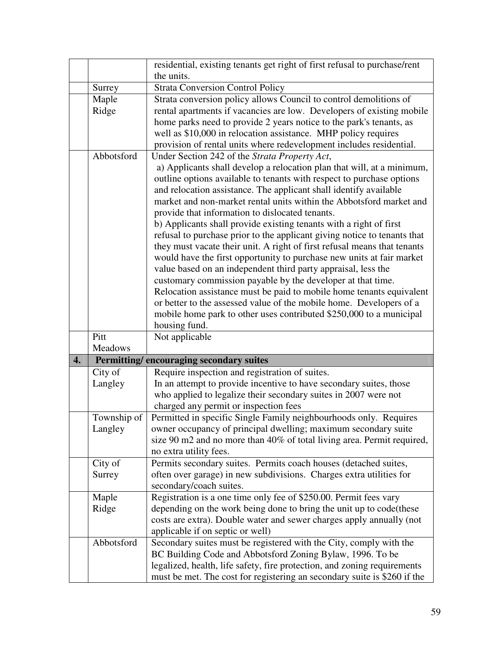|                    |                | residential, existing tenants get right of first refusal to purchase/rent                                                                            |
|--------------------|----------------|------------------------------------------------------------------------------------------------------------------------------------------------------|
|                    |                | the units.                                                                                                                                           |
|                    | Surrey         | <b>Strata Conversion Control Policy</b>                                                                                                              |
|                    | Maple          | Strata conversion policy allows Council to control demolitions of                                                                                    |
|                    | Ridge          | rental apartments if vacancies are low. Developers of existing mobile                                                                                |
|                    |                | home parks need to provide 2 years notice to the park's tenants, as                                                                                  |
|                    |                | well as \$10,000 in relocation assistance. MHP policy requires                                                                                       |
|                    |                | provision of rental units where redevelopment includes residential.                                                                                  |
|                    | Abbotsford     | Under Section 242 of the Strata Property Act,                                                                                                        |
|                    |                | a) Applicants shall develop a relocation plan that will, at a minimum,                                                                               |
|                    |                | outline options available to tenants with respect to purchase options                                                                                |
|                    |                | and relocation assistance. The applicant shall identify available                                                                                    |
|                    |                | market and non-market rental units within the Abbotsford market and                                                                                  |
|                    |                | provide that information to dislocated tenants.                                                                                                      |
|                    |                | b) Applicants shall provide existing tenants with a right of first                                                                                   |
|                    |                | refusal to purchase prior to the applicant giving notice to tenants that                                                                             |
|                    |                | they must vacate their unit. A right of first refusal means that tenants                                                                             |
|                    |                | would have the first opportunity to purchase new units at fair market<br>value based on an independent third party appraisal, less the               |
|                    |                | customary commission payable by the developer at that time.                                                                                          |
|                    |                | Relocation assistance must be paid to mobile home tenants equivalent                                                                                 |
|                    |                | or better to the assessed value of the mobile home. Developers of a                                                                                  |
|                    |                | mobile home park to other uses contributed \$250,000 to a municipal                                                                                  |
|                    |                | housing fund.                                                                                                                                        |
|                    | Pitt           | Not applicable                                                                                                                                       |
|                    | <b>Meadows</b> |                                                                                                                                                      |
| $\boldsymbol{4}$ . |                | Permitting/encouraging secondary suites                                                                                                              |
|                    | City of        | Require inspection and registration of suites.                                                                                                       |
|                    | Langley        | In an attempt to provide incentive to have secondary suites, those                                                                                   |
|                    |                | who applied to legalize their secondary suites in 2007 were not                                                                                      |
|                    |                | charged any permit or inspection fees                                                                                                                |
|                    | Township of    | Permitted in specific Single Family neighbourhoods only. Requires                                                                                    |
|                    | Langley        | owner occupancy of principal dwelling; maximum secondary suite                                                                                       |
|                    |                | size 90 m2 and no more than 40% of total living area. Permit required,                                                                               |
|                    |                | no extra utility fees.                                                                                                                               |
|                    |                |                                                                                                                                                      |
|                    | City of        | Permits secondary suites. Permits coach houses (detached suites,                                                                                     |
|                    | Surrey         | often over garage) in new subdivisions. Charges extra utilities for                                                                                  |
|                    |                | secondary/coach suites.                                                                                                                              |
|                    | Maple          | Registration is a one time only fee of \$250.00. Permit fees vary                                                                                    |
|                    | Ridge          | depending on the work being done to bring the unit up to code (these                                                                                 |
|                    |                | costs are extra). Double water and sewer charges apply annually (not                                                                                 |
|                    |                | applicable if on septic or well)                                                                                                                     |
|                    | Abbotsford     | Secondary suites must be registered with the City, comply with the                                                                                   |
|                    |                | BC Building Code and Abbotsford Zoning Bylaw, 1996. To be                                                                                            |
|                    |                | legalized, health, life safety, fire protection, and zoning requirements<br>must be met. The cost for registering an secondary suite is \$260 if the |